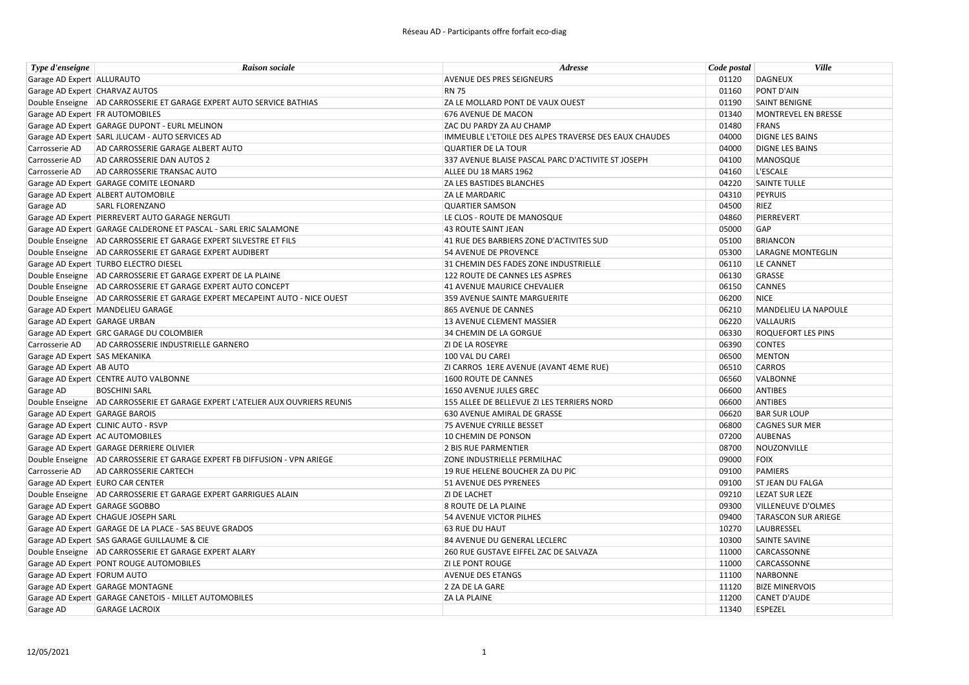| Type d'enseigne                 | <b>Raison sociale</b>                                                         | <b>Adresse</b>                                        | Code postal | <b>Ville</b>               |
|---------------------------------|-------------------------------------------------------------------------------|-------------------------------------------------------|-------------|----------------------------|
| Garage AD Expert ALLURAUTO      |                                                                               | AVENUE DES PRES SEIGNEURS                             | 01120       | DAGNEUX                    |
| Garage AD Expert CHARVAZ AUTOS  |                                                                               | <b>RN 75</b>                                          | 01160       | PONT D'AIN                 |
|                                 | Double Enseigne AD CARROSSERIE ET GARAGE EXPERT AUTO SERVICE BATHIAS          | ZA LE MOLLARD PONT DE VAUX OUEST                      | 01190       | <b>SAINT BENIGNE</b>       |
| Garage AD Expert FR AUTOMOBILES |                                                                               | 676 AVENUE DE MACON                                   | 01340       | MONTREVEL EN BRESSE        |
|                                 | Garage AD Expert GARAGE DUPONT - EURL MELINON                                 | ZAC DU PARDY ZA AU CHAMP                              | 01480       | FRANS                      |
|                                 | Garage AD Expert SARL JLUCAM - AUTO SERVICES AD                               | IMMEUBLE L'ETOILE DES ALPES TRAVERSE DES EAUX CHAUDES | 04000       | <b>DIGNE LES BAINS</b>     |
| Carrosserie AD                  | AD CARROSSERIE GARAGE ALBERT AUTO                                             | <b>QUARTIER DE LA TOUR</b>                            | 04000       | <b>DIGNE LES BAINS</b>     |
| Carrosserie AD                  | AD CARROSSERIE DAN AUTOS 2                                                    | 337 AVENUE BLAISE PASCAL PARC D'ACTIVITE ST JOSEPH    | 04100       | MANOSQUE                   |
| Carrosserie AD                  | AD CARROSSERIE TRANSAC AUTO                                                   | ALLEE DU 18 MARS 1962                                 | 04160       | L'ESCALE                   |
|                                 | Garage AD Expert GARAGE COMITE LEONARD                                        | <b>ZA LES BASTIDES BLANCHES</b>                       | 04220       | <b>SAINTE TULLE</b>        |
|                                 | Garage AD Expert ALBERT AUTOMOBILE                                            | ZA LE MARDARIC                                        | 04310       | PEYRUIS                    |
| Garage AD                       | <b>SARL FLORENZANO</b>                                                        | <b>QUARTIER SAMSON</b>                                | 04500       | RIEZ                       |
|                                 | Garage AD Expert PIERREVERT AUTO GARAGE NERGUTI                               | LE CLOS - ROUTE DE MANOSQUE                           | 04860       | PIERREVERT                 |
|                                 | Garage AD Expert GARAGE CALDERONE ET PASCAL - SARL ERIC SALAMONE              | <b>43 ROUTE SAINT JEAN</b>                            | 05000       | GAP                        |
|                                 | Double Enseigne AD CARROSSERIE ET GARAGE EXPERT SILVESTRE ET FILS             | 41 RUE DES BARBIERS ZONE D'ACTIVITES SUD              | 05100       | <b>BRIANCON</b>            |
|                                 | Double Enseigne   AD CARROSSERIE ET GARAGE EXPERT AUDIBERT                    | 54 AVENUE DE PROVENCE                                 | 05300       | <b>LARAGNE MONTEGLIN</b>   |
|                                 | Garage AD Expert TURBO ELECTRO DIESEL                                         | 31 CHEMIN DES FADES ZONE INDUSTRIELLE                 | 06110       | LE CANNET                  |
|                                 | Double Enseigne   AD CARROSSERIE ET GARAGE EXPERT DE LA PLAINE                | 122 ROUTE DE CANNES LES ASPRES                        | 06130       | GRASSE                     |
|                                 | Double Enseigne AD CARROSSERIE ET GARAGE EXPERT AUTO CONCEPT                  | 41 AVENUE MAURICE CHEVALIER                           | 06150       | <b>CANNES</b>              |
|                                 | Double Enseigne   AD CARROSSERIE ET GARAGE EXPERT MECAPEINT AUTO - NICE OUEST | 359 AVENUE SAINTE MARGUERITE                          | 06200       | <b>NICE</b>                |
|                                 | Garage AD Expert   MANDELIEU GARAGE                                           | 865 AVENUE DE CANNES                                  | 06210       | MANDELIEU LA NAPOULE       |
| Garage AD Expert GARAGE URBAN   |                                                                               | 13 AVENUE CLEMENT MASSIER                             | 06220       | VALLAURIS                  |
|                                 | Garage AD Expert GRC GARAGE DU COLOMBIER                                      | 34 CHEMIN DE LA GORGUE                                | 06330       | <b>ROQUEFORT LES PINS</b>  |
| Carrosserie AD                  | AD CARROSSERIE INDUSTRIELLE GARNERO                                           | <b>ZI DE LA ROSEYRE</b>                               | 06390       | <b>CONTES</b>              |
| Garage AD Expert SAS MEKANIKA   |                                                                               | 100 VAL DU CAREI                                      | 06500       | <b>MENTON</b>              |
| Garage AD Expert AB AUTO        |                                                                               | ZI CARROS 1ERE AVENUE (AVANT 4EME RUE)                | 06510       | <b>CARROS</b>              |
|                                 | Garage AD Expert CENTRE AUTO VALBONNE                                         | 1600 ROUTE DE CANNES                                  | 06560       | VALBONNE                   |
| Garage AD                       | <b>BOSCHINI SARL</b>                                                          | 1650 AVENUE JULES GREC                                | 06600       | <b>ANTIBES</b>             |
|                                 | Double Enseigne AD CARROSSERIE ET GARAGE EXPERT L'ATELIER AUX OUVRIERS REUNIS | 155 ALLEE DE BELLEVUE ZI LES TERRIERS NORD            | 06600       | <b>ANTIBES</b>             |
| Garage AD Expert GARAGE BAROIS  |                                                                               | 630 AVENUE AMIRAL DE GRASSE                           | 06620       | <b>BAR SUR LOUP</b>        |
|                                 | Garage AD Expert CLINIC AUTO - RSVP                                           | 75 AVENUE CYRILLE BESSET                              | 06800       | <b>CAGNES SUR MER</b>      |
| Garage AD Expert AC AUTOMOBILES |                                                                               | 10 CHEMIN DE PONSON                                   | 07200       | <b>AUBENAS</b>             |
|                                 | Garage AD Expert GARAGE DERRIERE OLIVIER                                      | 2 BIS RUE PARMENTIER                                  | 08700       | NOUZONVILLE                |
|                                 | Double Enseigne AD CARROSSERIE ET GARAGE EXPERT FB DIFFUSION - VPN ARIEGE     | ZONE INDUSTRIELLE PERMILHAC                           | 09000       | <b>FOIX</b>                |
| Carrosserie AD                  | <b>AD CARROSSERIE CARTECH</b>                                                 | 19 RUE HELENE BOUCHER ZA DU PIC                       | 09100       | <b>PAMIERS</b>             |
|                                 | Garage AD Expert EURO CAR CENTER                                              | 51 AVENUE DES PYRENEES                                | 09100       | <b>ST JEAN DU FALGA</b>    |
|                                 | Double Enseigne AD CARROSSERIE ET GARAGE EXPERT GARRIGUES ALAIN               | <b>ZI DE LACHET</b>                                   | 09210       | <b>LEZAT SUR LEZE</b>      |
| Garage AD Expert GARAGE SGOBBO  |                                                                               | 8 ROUTE DE LA PLAINE                                  | 09300       | VILLENEUVE D'OLMES         |
|                                 | Garage AD Expert CHAGUE JOSEPH SARL                                           | <b>54 AVENUE VICTOR PILHES</b>                        | 09400       | <b>TARASCON SUR ARIEGE</b> |
|                                 | Garage AD Expert GARAGE DE LA PLACE - SAS BEUVE GRADOS                        | <b>63 RUE DU HAUT</b>                                 | 10270       | LAUBRESSEL                 |
|                                 | Garage AD Expert SAS GARAGE GUILLAUME & CIE                                   | 84 AVENUE DU GENERAL LECLERC                          | 10300       | SAINTE SAVINE              |
|                                 | Double Enseigne   AD CARROSSERIE ET GARAGE EXPERT ALARY                       | 260 RUE GUSTAVE EIFFEL ZAC DE SALVAZA                 | 11000       | CARCASSONNE                |
|                                 | Garage AD Expert PONT ROUGE AUTOMOBILES                                       | <b>ZI LE PONT ROUGE</b>                               | 11000       | CARCASSONNE                |
| Garage AD Expert FORUM AUTO     |                                                                               | <b>AVENUE DES ETANGS</b>                              | 11100       | NARBONNE                   |
|                                 | Garage AD Expert GARAGE MONTAGNE                                              | 2 ZA DE LA GARE                                       | 11120       | <b>BIZE MINERVOIS</b>      |
|                                 | Garage AD Expert GARAGE CANETOIS - MILLET AUTOMOBILES                         | <b>ZA LA PLAINE</b>                                   | 11200       | CANET D'AUDE               |
| Garage AD                       | <b>GARAGE LACROIX</b>                                                         |                                                       | 11340       | <b>ESPEZEL</b>             |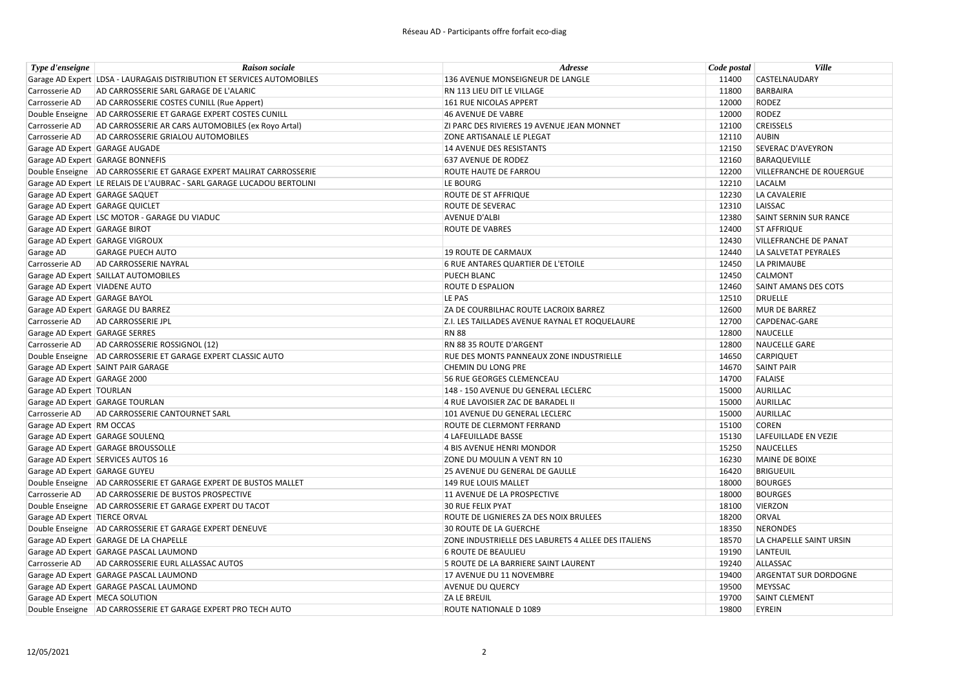| Type d'enseigne                  | <b>Raison sociale</b>                                                  | Adresse                                             | Code postal | Ville                           |
|----------------------------------|------------------------------------------------------------------------|-----------------------------------------------------|-------------|---------------------------------|
|                                  | Garage AD Expert LDSA - LAURAGAIS DISTRIBUTION ET SERVICES AUTOMOBILES | 136 AVENUE MONSEIGNEUR DE LANGLE                    | 11400       | CASTELNAUDARY                   |
| Carrosserie AD                   | AD CARROSSERIE SARL GARAGE DE L'ALARIC                                 | RN 113 LIEU DIT LE VILLAGE                          | 11800       | <b>BARBAIRA</b>                 |
| Carrosserie AD                   | AD CARROSSERIE COSTES CUNILL (Rue Appert)                              | 161 RUE NICOLAS APPERT                              | 12000       | <b>RODEZ</b>                    |
|                                  | Double Enseigne AD CARROSSERIE ET GARAGE EXPERT COSTES CUNILL          | 46 AVENUE DE VABRE                                  | 12000       | <b>RODEZ</b>                    |
| Carrosserie AD                   | AD CARROSSERIE AR CARS AUTOMOBILES (ex Royo Artal)                     | ZI PARC DES RIVIERES 19 AVENUE JEAN MONNET          | 12100       | <b>CREISSELS</b>                |
| Carrosserie AD                   | AD CARROSSERIE GRIALOU AUTOMOBILES                                     | ZONE ARTISANALE LE PLEGAT                           | 12110       | <b>AUBIN</b>                    |
|                                  | Garage AD Expert GARAGE AUGADE                                         | 14 AVENUE DES RESISTANTS                            | 12150       | <b>SEVERAC D'AVEYRON</b>        |
|                                  | Garage AD Expert GARAGE BONNEFIS                                       | 637 AVENUE DE RODEZ                                 | 12160       | <b>BARAQUEVILLE</b>             |
|                                  | Double Enseigne AD CARROSSERIE ET GARAGE EXPERT MALIRAT CARROSSERIE    | <b>ROUTE HAUTE DE FARROU</b>                        | 12200       | <b>VILLEFRANCHE DE ROUERGUE</b> |
|                                  | Garage AD Expert LE RELAIS DE L'AUBRAC - SARL GARAGE LUCADOU BERTOLINI | LE BOURG                                            | 12210       | LACALM                          |
| Garage AD Expert GARAGE SAQUET   |                                                                        | ROUTE DE ST AFFRIQUE                                | 12230       | LA CAVALERIE                    |
| Garage AD Expert GARAGE QUICLET  |                                                                        | <b>ROUTE DE SEVERAC</b>                             | 12310       | LAISSAC                         |
|                                  | Garage AD Expert LSC MOTOR - GARAGE DU VIADUC                          | <b>AVENUE D'ALBI</b>                                | 12380       | SAINT SERNIN SUR RANCE          |
| Garage AD Expert GARAGE BIROT    |                                                                        | <b>ROUTE DE VABRES</b>                              | 12400       | <b>ST AFFRIQUE</b>              |
|                                  | Garage AD Expert GARAGE VIGROUX                                        |                                                     | 12430       | <b>VILLEFRANCHE DE PANAT</b>    |
| Garage AD                        | <b>GARAGE PUECH AUTO</b>                                               | 19 ROUTE DE CARMAUX                                 | 12440       | LA SALVETAT PEYRALES            |
| Carrosserie AD                   | AD CARROSSERIE NAYRAL                                                  | <b>6 RUE ANTARES QUARTIER DE L'ETOILE</b>           | 12450       | LA PRIMAUBE                     |
|                                  | Garage AD Expert SAILLAT AUTOMOBILES                                   | PUECH BLANC                                         | 12450       | CALMONT                         |
| Garage AD Expert VIADENE AUTO    |                                                                        | <b>ROUTE D ESPALION</b>                             | 12460       | SAINT AMANS DES COTS            |
| Garage AD Expert GARAGE BAYOL    |                                                                        | LE PAS                                              | 12510       | <b>DRUELLE</b>                  |
|                                  | Garage AD Expert GARAGE DU BARREZ                                      | ZA DE COURBILHAC ROUTE LACROIX BARREZ               | 12600       | <b>MUR DE BARREZ</b>            |
|                                  | Carrosserie AD   AD CARROSSERIE JPL                                    | Z.I. LES TAILLADES AVENUE RAYNAL ET ROQUELAURE      | 12700       | CAPDENAC-GARE                   |
| Garage AD Expert GARAGE SERRES   |                                                                        | <b>RN 88</b>                                        | 12800       | <b>NAUCELLE</b>                 |
|                                  | Carrosserie AD AD CARROSSERIE ROSSIGNOL (12)                           | RN 88 35 ROUTE D'ARGENT                             | 12800       | <b>NAUCELLE GARE</b>            |
|                                  | Double Enseigne   AD CARROSSERIE ET GARAGE EXPERT CLASSIC AUTO         | RUE DES MONTS PANNEAUX ZONE INDUSTRIELLE            | 14650       | <b>CARPIQUET</b>                |
|                                  | Garage AD Expert SAINT PAIR GARAGE                                     | CHEMIN DU LONG PRE                                  | 14670       | <b>SAINT PAIR</b>               |
| Garage AD Expert GARAGE 2000     |                                                                        | 56 RUE GEORGES CLEMENCEAU                           | 14700       | <b>FALAISE</b>                  |
| Garage AD Expert   TOURLAN       |                                                                        | 148 - 150 AVENUE DU GENERAL LECLERC                 | 15000       | <b>AURILLAC</b>                 |
|                                  | Garage AD Expert GARAGE TOURLAN                                        | 4 RUE LAVOISIER ZAC DE BARADEL II                   | 15000       | AURILLAC                        |
|                                  | Carrosserie AD AD CARROSSERIE CANTOURNET SARL                          | 101 AVENUE DU GENERAL LECLERC                       | 15000       | <b>AURILLAC</b>                 |
| Garage AD Expert RM OCCAS        |                                                                        | ROUTE DE CLERMONT FERRAND                           | 15100       | <b>COREN</b>                    |
|                                  | Garage AD Expert GARAGE SOULENQ                                        | 4 LAFEUILLADE BASSE                                 | 15130       | LAFEUILLADE EN VEZIE            |
|                                  | Garage AD Expert GARAGE BROUSSOLLE                                     | 4 BIS AVENUE HENRI MONDOR                           | 15250       | <b>NAUCELLES</b>                |
|                                  | Garage AD Expert SERVICES AUTOS 16                                     | ZONE DU MOULIN A VENT RN 10                         | 16230       | <b>MAINE DE BOIXE</b>           |
| Garage AD Expert GARAGE GUYEU    |                                                                        | 25 AVENUE DU GENERAL DE GAULLE                      | 16420       | <b>BRIGUEUIL</b>                |
|                                  | Double Enseigne   AD CARROSSERIE ET GARAGE EXPERT DE BUSTOS MALLET     | 149 RUE LOUIS MALLET                                | 18000       | <b>BOURGES</b>                  |
|                                  | Carrosserie AD AD CARROSSERIE DE BUSTOS PROSPECTIVE                    | 11 AVENUE DE LA PROSPECTIVE                         | 18000       | <b>BOURGES</b>                  |
|                                  | Double Enseigne AD CARROSSERIE ET GARAGE EXPERT DU TACOT               | <b>30 RUE FELIX PYAT</b>                            | 18100       | <b>VIERZON</b>                  |
| Garage AD Expert TIERCE ORVAL    |                                                                        | ROUTE DE LIGNIERES ZA DES NOIX BRULEES              | 18200       | ORVAL                           |
|                                  | Double Enseigne   AD CARROSSERIE ET GARAGE EXPERT DENEUVE              | <b>30 ROUTE DE LA GUERCHE</b>                       | 18350       | <b>NERONDES</b>                 |
|                                  | Garage AD Expert GARAGE DE LA CHAPELLE                                 | ZONE INDUSTRIELLE DES LABURETS 4 ALLEE DES ITALIENS | 18570       | LA CHAPELLE SAINT URSIN         |
|                                  | Garage AD Expert GARAGE PASCAL LAUMOND                                 | <b>6 ROUTE DE BEAULIEU</b>                          | 19190       | LANTEUIL                        |
|                                  | Carrosserie AD AD CARROSSERIE EURL ALLASSAC AUTOS                      | 5 ROUTE DE LA BARRIERE SAINT LAURENT                | 19240       | ALLASSAC                        |
|                                  | Garage AD Expert GARAGE PASCAL LAUMOND                                 | 17 AVENUE DU 11 NOVEMBRE                            | 19400       | <b>ARGENTAT SUR DORDOGNE</b>    |
|                                  | Garage AD Expert GARAGE PASCAL LAUMOND                                 | <b>AVENUE DU QUERCY</b>                             | 19500       | MEYSSAC                         |
| Garage AD Expert   MECA SOLUTION |                                                                        | <b>ZA LE BREUIL</b>                                 | 19700       | <b>SAINT CLEMENT</b>            |
|                                  | Double Enseigne AD CARROSSERIE ET GARAGE EXPERT PRO TECH AUTO          | ROUTE NATIONALE D 1089                              | 19800       | EYREIN                          |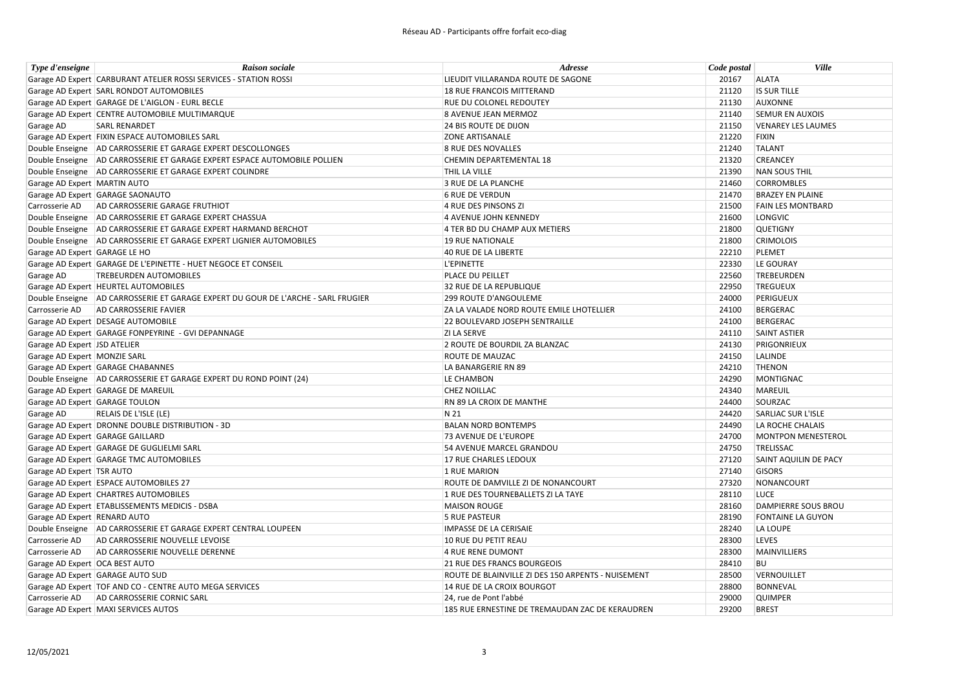| Type d'enseigne                | <b>Raison sociale</b>                                                             | Adresse                                            | Code postal | <b>Ville</b>              |
|--------------------------------|-----------------------------------------------------------------------------------|----------------------------------------------------|-------------|---------------------------|
|                                | Garage AD Expert CARBURANT ATELIER ROSSI SERVICES - STATION ROSSI                 | LIEUDIT VILLARANDA ROUTE DE SAGONE                 | 20167       | <b>ALATA</b>              |
|                                | Garage AD Expert SARL RONDOT AUTOMOBILES                                          | 18 RUE FRANCOIS MITTERAND                          | 21120       | <b>IS SUR TILLE</b>       |
|                                | Garage AD Expert GARAGE DE L'AIGLON - EURL BECLE                                  | RUE DU COLONEL REDOUTEY                            | 21130       | <b>AUXONNE</b>            |
|                                | Garage AD Expert CENTRE AUTOMOBILE MULTIMARQUE                                    | 8 AVENUE JEAN MERMOZ                               | 21140       | <b>SEMUR EN AUXOIS</b>    |
| Garage AD                      | <b>SARL RENARDET</b>                                                              | <b>24 BIS ROUTE DE DIJON</b>                       | 21150       | <b>VENAREY LES LAUMES</b> |
|                                | Garage AD Expert FIXIN ESPACE AUTOMOBILES SARL                                    | <b>ZONE ARTISANALE</b>                             | 21220       | <b>FIXIN</b>              |
|                                | Double Enseigne AD CARROSSERIE ET GARAGE EXPERT DESCOLLONGES                      | 8 RUE DES NOVALLES                                 | 21240       | <b>TALANT</b>             |
|                                | Double Enseigne AD CARROSSERIE ET GARAGE EXPERT ESPACE AUTOMOBILE POLLIEN         | CHEMIN DEPARTEMENTAL 18                            | 21320       | <b>CREANCEY</b>           |
|                                | Double Enseigne   AD CARROSSERIE ET GARAGE EXPERT COLINDRE                        | THIL LA VILLE                                      | 21390       | <b>NAN SOUS THIL</b>      |
| Garage AD Expert   MARTIN AUTO |                                                                                   | 3 RUE DE LA PLANCHE                                | 21460       | <b>CORROMBLES</b>         |
|                                | Garage AD Expert GARAGE SAONAUTO                                                  | <b>6 RUE DE VERDUN</b>                             | 21470       | <b>BRAZEY EN PLAINE</b>   |
| Carrosserie AD                 | AD CARROSSERIE GARAGE FRUTHIOT                                                    | 4 RUE DES PINSONS ZI                               | 21500       | <b>FAIN LES MONTBARD</b>  |
|                                | Double Enseigne AD CARROSSERIE ET GARAGE EXPERT CHASSUA                           | 4 AVENUE JOHN KENNEDY                              | 21600       | <b>LONGVIC</b>            |
|                                | Double Enseigne AD CARROSSERIE ET GARAGE EXPERT HARMAND BERCHOT                   | 4 TER BD DU CHAMP AUX METIERS                      | 21800       | <b>QUETIGNY</b>           |
|                                | Double Enseigne AD CARROSSERIE ET GARAGE EXPERT LIGNIER AUTOMOBILES               | <b>19 RUE NATIONALE</b>                            | 21800       | <b>CRIMOLOIS</b>          |
| Garage AD Expert GARAGE LE HO  |                                                                                   | 40 RUE DE LA LIBERTE                               | 22210       | <b>PLEMET</b>             |
|                                | Garage AD Expert GARAGE DE L'EPINETTE - HUET NEGOCE ET CONSEIL                    | L'EPINETTE                                         | 22330       | LE GOURAY                 |
| Garage AD                      | <b>TREBEURDEN AUTOMOBILES</b>                                                     | PLACE DU PEILLET                                   | 22560       | <b>TREBEURDEN</b>         |
|                                | Garage AD Expert HEURTEL AUTOMOBILES                                              | 32 RUE DE LA REPUBLIQUE                            | 22950       | <b>TREGUEUX</b>           |
|                                | Double Enseigne AD CARROSSERIE ET GARAGE EXPERT DU GOUR DE L'ARCHE - SARL FRUGIER | <b>299 ROUTE D'ANGOULEME</b>                       | 24000       | PERIGUEUX                 |
| Carrosserie AD                 | AD CARROSSERIE FAVIER                                                             | ZA LA VALADE NORD ROUTE EMILE LHOTELLIER           | 24100       | <b>BERGERAC</b>           |
|                                | Garage AD Expert DESAGE AUTOMOBILE                                                | 22 BOULEVARD JOSEPH SENTRAILLE                     | 24100       | <b>BERGERAC</b>           |
|                                | Garage AD Expert GARAGE FONPEYRINE - GVI DEPANNAGE                                | <b>ZI LA SERVE</b>                                 | 24110       | <b>SAINT ASTIER</b>       |
| Garage AD Expert JSD ATELIER   |                                                                                   | 2 ROUTE DE BOURDIL ZA BLANZAC                      | 24130       | PRIGONRIEUX               |
| Garage AD Expert   MONZIE SARL |                                                                                   | <b>ROUTE DE MAUZAC</b>                             | 24150       | <b>LALINDE</b>            |
|                                | Garage AD Expert GARAGE CHABANNES                                                 | LA BANARGERIE RN 89                                | 24210       | <b>THENON</b>             |
|                                | Double Enseigne   AD CARROSSERIE ET GARAGE EXPERT DU ROND POINT (24)              | LE CHAMBON                                         | 24290       | <b>MONTIGNAC</b>          |
|                                | Garage AD Expert GARAGE DE MAREUIL                                                | <b>CHEZ NOILLAC</b>                                | 24340       | MAREUIL                   |
|                                | Garage AD Expert GARAGE TOULON                                                    | RN 89 LA CROIX DE MANTHE                           | 24400       | SOURZAC                   |
| Garage AD                      | RELAIS DE L'ISLE (LE)                                                             | N 21                                               | 24420       | <b>SARLIAC SUR L'ISLE</b> |
|                                | Garage AD Expert DRONNE DOUBLE DISTRIBUTION - 3D                                  | <b>BALAN NORD BONTEMPS</b>                         | 24490       | LA ROCHE CHALAIS          |
|                                | Garage AD Expert GARAGE GAILLARD                                                  | 73 AVENUE DE L'EUROPE                              | 24700       | <b>MONTPON MENESTEROL</b> |
|                                | Garage AD Expert GARAGE DE GUGLIELMI SARL                                         | 54 AVENUE MARCEL GRANDOU                           | 24750       | TRELISSAC                 |
|                                | Garage AD Expert GARAGE TMC AUTOMOBILES                                           | 17 RUE CHARLES LEDOUX                              | 27120       | SAINT AQUILIN DE PACY     |
| Garage AD Expert   TSR AUTO    |                                                                                   | 1 RUE MARION                                       | 27140       | <b>GISORS</b>             |
|                                | Garage AD Expert ESPACE AUTOMOBILES 27                                            | ROUTE DE DAMVILLE ZI DE NONANCOURT                 | 27320       | NONANCOURT                |
|                                | Garage AD Expert CHARTRES AUTOMOBILES                                             | 1 RUE DES TOURNEBALLETS ZI LA TAYE                 | 28110       | <b>LUCE</b>               |
|                                | Garage AD Expert ETABLISSEMENTS MEDICIS - DSBA                                    | <b>MAISON ROUGE</b>                                | 28160       | DAMPIERRE SOUS BROU       |
| Garage AD Expert RENARD AUTO   |                                                                                   | <b>5 RUE PASTEUR</b>                               | 28190       | <b>FONTAINE LA GUYON</b>  |
|                                | Double Enseigne AD CARROSSERIE ET GARAGE EXPERT CENTRAL LOUPEEN                   | <b>IMPASSE DE LA CERISAIE</b>                      | 28240       | LA LOUPE                  |
| Carrosserie AD                 | AD CARROSSERIE NOUVELLE LEVOISE                                                   | 10 RUE DU PETIT REAU                               | 28300       | <b>LEVES</b>              |
| Carrosserie AD                 | AD CARROSSERIE NOUVELLE DERENNE                                                   | 4 RUE RENE DUMONT                                  | 28300       | <b>MAINVILLIERS</b>       |
| Garage AD Expert OCA BEST AUTO |                                                                                   | 21 RUE DES FRANCS BOURGEOIS                        | 28410       | <b>BU</b>                 |
|                                | Garage AD Expert GARAGE AUTO SUD                                                  | ROUTE DE BLAINVILLE ZI DES 150 ARPENTS - NUISEMENT | 28500       | VERNOUILLET               |
|                                | Garage AD Expert   TOF AND CO - CENTRE AUTO MEGA SERVICES                         | 14 RUE DE LA CROIX BOURGOT                         | 28800       | <b>BONNEVAL</b>           |
|                                | Carrosserie AD AD CARROSSERIE CORNIC SARL                                         | 24, rue de Pont l'abbé                             | 29000       | <b>QUIMPER</b>            |
|                                | Garage AD Expert   MAXI SERVICES AUTOS                                            | 185 RUE ERNESTINE DE TREMAUDAN ZAC DE KERAUDREN    | 29200       | <b>BREST</b>              |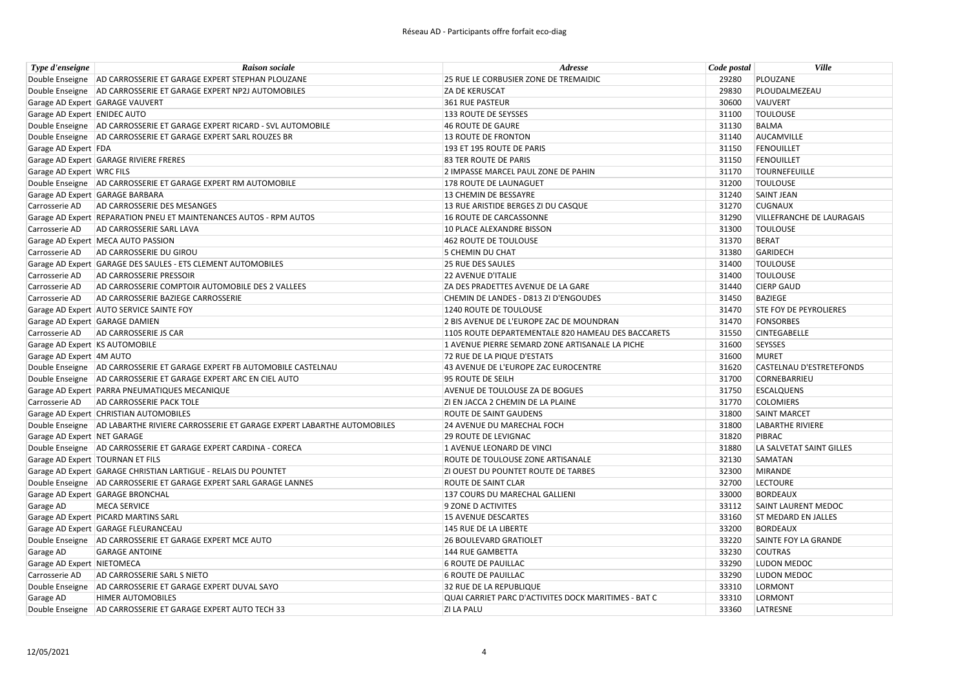| Type d'enseigne                | <b>Raison sociale</b>                                                                   | Adresse                                              | Code postal | <b>Ville</b>                     |
|--------------------------------|-----------------------------------------------------------------------------------------|------------------------------------------------------|-------------|----------------------------------|
|                                | Double Enseigne AD CARROSSERIE ET GARAGE EXPERT STEPHAN PLOUZANE                        | 25 RUE LE CORBUSIER ZONE DE TREMAIDIC                | 29280       | PLOUZANE                         |
|                                | Double Enseigne AD CARROSSERIE ET GARAGE EXPERT NP2J AUTOMOBILES                        | <b>ZA DE KERUSCAT</b>                                | 29830       | PLOUDALMEZEAU                    |
|                                | Garage AD Expert GARAGE VAUVERT                                                         | 361 RUE PASTEUR                                      | 30600       | VAUVERT                          |
| Garage AD Expert ENIDEC AUTO   |                                                                                         | 133 ROUTE DE SEYSSES                                 | 31100       | <b>TOULOUSE</b>                  |
|                                | Double Enseigne   AD CARROSSERIE ET GARAGE EXPERT RICARD - SVL AUTOMOBILE               | 46 ROUTE DE GAURE                                    | 31130       | <b>BALMA</b>                     |
|                                | Double Enseigne AD CARROSSERIE ET GARAGE EXPERT SARL ROUZES BR                          | 13 ROUTE DE FRONTON                                  | 31140       | AUCAMVILLE                       |
| Garage AD Expert FDA           |                                                                                         | 193 ET 195 ROUTE DE PARIS                            | 31150       | <b>FENOUILLET</b>                |
|                                | Garage AD Expert GARAGE RIVIERE FRERES                                                  | <b>83 TER ROUTE DE PARIS</b>                         | 31150       | <b>FENOUILLET</b>                |
| Garage AD Expert WRC FILS      |                                                                                         | 2 IMPASSE MARCEL PAUL ZONE DE PAHIN                  | 31170       | <b>TOURNEFEUILLE</b>             |
|                                | Double Enseigne AD CARROSSERIE ET GARAGE EXPERT RM AUTOMOBILE                           | 178 ROUTE DE LAUNAGUET                               | 31200       | <b>TOULOUSE</b>                  |
|                                | Garage AD Expert GARAGE BARBARA                                                         | 13 CHEMIN DE BESSAYRE                                | 31240       | <b>SAINT JEAN</b>                |
|                                | Carrosserie AD AD CARROSSERIE DES MESANGES                                              | 13 RUE ARISTIDE BERGES ZI DU CASQUE                  | 31270       | <b>CUGNAUX</b>                   |
|                                | Garage AD Expert REPARATION PNEU ET MAINTENANCES AUTOS - RPM AUTOS                      | 16 ROUTE DE CARCASSONNE                              | 31290       | <b>VILLEFRANCHE DE LAURAGAIS</b> |
| Carrosserie AD                 | AD CARROSSERIE SARL LAVA                                                                | 10 PLACE ALEXANDRE BISSON                            | 31300       | <b>TOULOUSE</b>                  |
|                                | Garage AD Expert MECA AUTO PASSION                                                      | 462 ROUTE DE TOULOUSE                                | 31370       | <b>BERAT</b>                     |
| Carrosserie AD                 | AD CARROSSERIE DU GIROU                                                                 | 5 CHEMIN DU CHAT                                     | 31380       | <b>GARIDECH</b>                  |
|                                | Garage AD Expert GARAGE DES SAULES - ETS CLEMENT AUTOMOBILES                            | <b>25 RUE DES SAULES</b>                             | 31400       | <b>TOULOUSE</b>                  |
| Carrosserie AD                 | <b>AD CARROSSERIE PRESSOIR</b>                                                          | <b>22 AVENUE D'ITALIE</b>                            | 31400       | <b>TOULOUSE</b>                  |
| Carrosserie AD                 | AD CARROSSERIE COMPTOIR AUTOMOBILE DES 2 VALLEES                                        | ZA DES PRADETTES AVENUE DE LA GARE                   | 31440       | <b>CIERP GAUD</b>                |
| Carrosserie AD                 | AD CARROSSERIE BAZIEGE CARROSSERIE                                                      | CHEMIN DE LANDES - D813 ZI D'ENGOUDES                | 31450       | <b>BAZIEGE</b>                   |
|                                | Garage AD Expert AUTO SERVICE SAINTE FOY                                                | 1240 ROUTE DE TOULOUSE                               | 31470       | <b>STE FOY DE PEYROLIERES</b>    |
| Garage AD Expert GARAGE DAMIEN |                                                                                         | 2 BIS AVENUE DE L'EUROPE ZAC DE MOUNDRAN             | 31470       | <b>FONSORBES</b>                 |
| Carrosserie AD                 | AD CARROSSERIE JS CAR                                                                   | 1105 ROUTE DEPARTEMENTALE 820 HAMEAU DES BACCARETS   | 31550       | <b>CINTEGABELLE</b>              |
| Garage AD Expert KS AUTOMOBILE |                                                                                         | 1 AVENUE PIERRE SEMARD ZONE ARTISANALE LA PICHE      | 31600       | <b>SEYSSES</b>                   |
| Garage AD Expert 4M AUTO       |                                                                                         | 72 RUE DE LA PIQUE D'ESTATS                          | 31600       | <b>MURET</b>                     |
|                                | Double Enseigne AD CARROSSERIE ET GARAGE EXPERT FB AUTOMOBILE CASTELNAU                 | 43 AVENUE DE L'EUROPE ZAC EUROCENTRE                 | 31620       | <b>CASTELNAU D'ESTRETEFONDS</b>  |
|                                | Double Enseigne AD CARROSSERIE ET GARAGE EXPERT ARC EN CIEL AUTO                        | 95 ROUTE DE SEILH                                    | 31700       | CORNEBARRIEU                     |
|                                | Garage AD Expert PARRA PNEUMATIQUES MECANIQUE                                           | <b>AVENUE DE TOULOUSE ZA DE BOGUES</b>               | 31750       | <b>ESCALQUENS</b>                |
|                                | Carrosserie AD AD CARROSSERIE PACK TOLE                                                 | ZI EN JACCA 2 CHEMIN DE LA PLAINE                    | 31770       | <b>COLOMIERS</b>                 |
|                                | Garage AD Expert CHRISTIAN AUTOMOBILES                                                  | <b>ROUTE DE SAINT GAUDENS</b>                        | 31800       | <b>SAINT MARCET</b>              |
|                                | Double Enseigne   AD LABARTHE RIVIERE CARROSSERIE ET GARAGE EXPERT LABARTHE AUTOMOBILES | 24 AVENUE DU MARECHAL FOCH                           | 31800       | <b>LABARTHE RIVIERE</b>          |
| Garage AD Expert NET GARAGE    |                                                                                         | <b>29 ROUTE DE LEVIGNAC</b>                          | 31820       | PIBRAC                           |
|                                | Double Enseigne   AD CARROSSERIE ET GARAGE EXPERT CARDINA - CORECA                      | 1 AVENUE LEONARD DE VINCI                            | 31880       | LA SALVETAT SAINT GILLES         |
|                                | Garage AD Expert   TOURNAN ET FILS                                                      | ROUTE DE TOULOUSE ZONE ARTISANALE                    | 32130       | SAMATAN                          |
|                                | Garage AD Expert GARAGE CHRISTIAN LARTIGUE - RELAIS DU POUNTET                          | <b>ZI OUEST DU POUNTET ROUTE DE TARBES</b>           | 32300       | <b>MIRANDE</b>                   |
|                                | Double Enseigne AD CARROSSERIE ET GARAGE EXPERT SARL GARAGE LANNES                      | <b>ROUTE DE SAINT CLAR</b>                           | 32700       | <b>LECTOURE</b>                  |
|                                | Garage AD Expert GARAGE BRONCHAL                                                        | 137 COURS DU MARECHAL GALLIENI                       | 33000       | <b>BORDEAUX</b>                  |
| Garage AD                      | <b>MECA SERVICE</b>                                                                     | 9 ZONE D ACTIVITES                                   | 33112       | <b>SAINT LAURENT MEDOC</b>       |
|                                | Garage AD Expert PICARD MARTINS SARL                                                    | 15 AVENUE DESCARTES                                  | 33160       | <b>ST MEDARD EN JALLES</b>       |
|                                | Garage AD Expert GARAGE FLEURANCEAU                                                     | 145 RUE DE LA LIBERTE                                | 33200       | <b>BORDEAUX</b>                  |
|                                | Double Enseigne   AD CARROSSERIE ET GARAGE EXPERT MCE AUTO                              | <b>26 BOULEVARD GRATIOLET</b>                        | 33220       | SAINTE FOY LA GRANDE             |
| Garage AD                      | <b>GARAGE ANTOINE</b>                                                                   | 144 RUE GAMBETTA                                     | 33230       | <b>COUTRAS</b>                   |
| Garage AD Expert NIETOMECA     |                                                                                         | <b>6 ROUTE DE PAUILLAC</b>                           | 33290       | LUDON MEDOC                      |
| Carrosserie AD                 | AD CARROSSERIE SARL S NIETO                                                             | <b>6 ROUTE DE PAUILLAC</b>                           | 33290       | LUDON MEDOC                      |
|                                | Double Enseigne AD CARROSSERIE ET GARAGE EXPERT DUVAL SAYO                              | 32 RUE DE LA REPUBLIQUE                              | 33310       | <b>LORMONT</b>                   |
| Garage AD                      | <b>HIMER AUTOMOBILES</b>                                                                | QUAI CARRIET PARC D'ACTIVITES DOCK MARITIMES - BAT C | 33310       | LORMONT                          |
|                                | Double Enseigne AD CARROSSERIE ET GARAGE EXPERT AUTO TECH 33                            | <b>ZI LA PALU</b>                                    | 33360       | LATRESNE                         |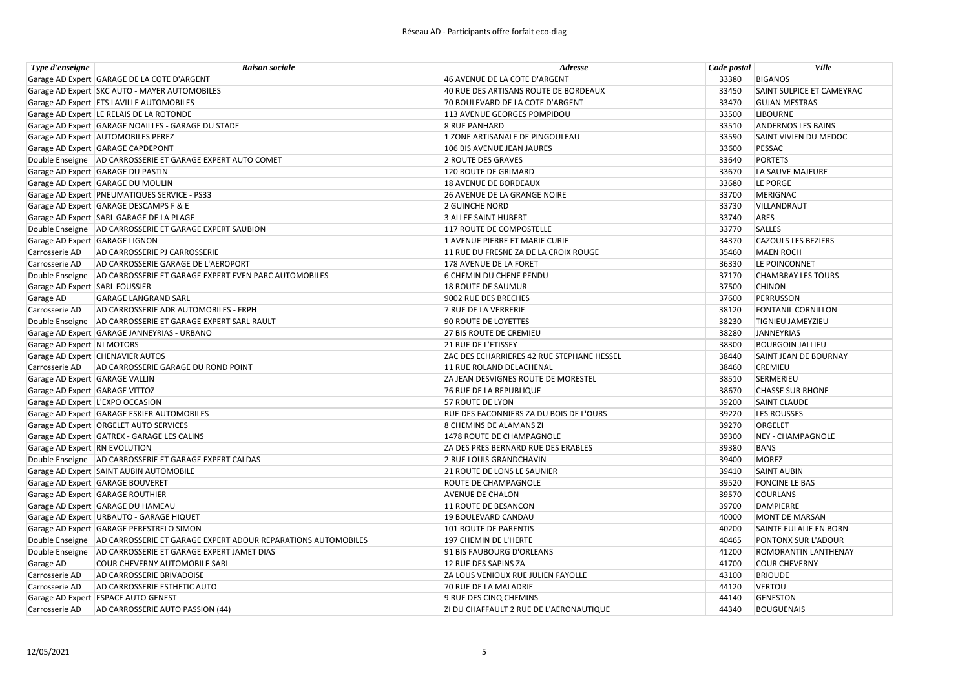| Type d'enseigne                | <b>Raison sociale</b>                                                           | Adresse                                        | Code postal | <b>Ville</b>                |
|--------------------------------|---------------------------------------------------------------------------------|------------------------------------------------|-------------|-----------------------------|
|                                | Garage AD Expert GARAGE DE LA COTE D'ARGENT                                     | 46 AVENUE DE LA COTE D'ARGENT                  | 33380       | <b>BIGANOS</b>              |
|                                | Garage AD Expert SKC AUTO - MAYER AUTOMOBILES                                   | 40 RUE DES ARTISANS ROUTE DE BORDEAUX          | 33450       | SAINT SULPICE ET CAMEYRAC   |
|                                | Garage AD Expert ETS LAVILLE AUTOMOBILES                                        | 70 BOULEVARD DE LA COTE D'ARGENT               | 33470       | <b>GUJAN MESTRAS</b>        |
|                                | Garage AD Expert LE RELAIS DE LA ROTONDE                                        | 113 AVENUE GEORGES POMPIDOU                    | 33500       | <b>LIBOURNE</b>             |
|                                | Garage AD Expert GARAGE NOAILLES - GARAGE DU STADE                              | <b>8 RUE PANHARD</b>                           | 33510       | <b>ANDERNOS LES BAINS</b>   |
|                                | Garage AD Expert AUTOMOBILES PEREZ                                              | 1 ZONE ARTISANALE DE PINGOULEAU                | 33590       | SAINT VIVIEN DU MEDOC       |
|                                | Garage AD Expert GARAGE CAPDEPONT                                               | 106 BIS AVENUE JEAN JAURES                     | 33600       | PESSAC                      |
|                                | Double Enseigne   AD CARROSSERIE ET GARAGE EXPERT AUTO COMET                    | 2 ROUTE DES GRAVES                             | 33640       | <b>PORTETS</b>              |
|                                | Garage AD Expert GARAGE DU PASTIN                                               | 120 ROUTE DE GRIMARD                           | 33670       | LA SAUVE MAJEURE            |
|                                | Garage AD Expert GARAGE DU MOULIN                                               | <b>18 AVENUE DE BORDEAUX</b>                   | 33680       | LE PORGE                    |
|                                | Garage AD Expert PNEUMATIQUES SERVICE - PS33                                    | 26 AVENUE DE LA GRANGE NOIRE                   | 33700       | <b>MERIGNAC</b>             |
|                                | Garage AD Expert GARAGE DESCAMPS F & E                                          | <b>2 GUINCHE NORD</b>                          | 33730       | VILLANDRAUT                 |
|                                | Garage AD Expert SARL GARAGE DE LA PLAGE                                        | 3 ALLEE SAINT HUBERT                           | 33740       | ARES                        |
|                                | Double Enseigne AD CARROSSERIE ET GARAGE EXPERT SAUBION                         | 117 ROUTE DE COMPOSTELLE                       | 33770       | <b>SALLES</b>               |
| Garage AD Expert GARAGE LIGNON |                                                                                 | 1 AVENUE PIERRE ET MARIE CURIE                 | 34370       | <b>CAZOULS LES BEZIERS</b>  |
| Carrosserie AD                 | AD CARROSSERIE PJ CARROSSERIE                                                   | 11 RUE DU FRESNE ZA DE LA CROIX ROUGE          | 35460       | <b>MAEN ROCH</b>            |
| Carrosserie AD                 | AD CARROSSERIE GARAGE DE L'AEROPORT                                             | 178 AVENUE DE LA FORET                         | 36330       | LE POINCONNET               |
|                                | Double Enseigne   AD CARROSSERIE ET GARAGE EXPERT EVEN PARC AUTOMOBILES         | 6 CHEMIN DU CHENE PENDU                        | 37170       | <b>CHAMBRAY LES TOURS</b>   |
| Garage AD Expert SARL FOUSSIER |                                                                                 | 18 ROUTE DE SAUMUR                             | 37500       | <b>CHINON</b>               |
| Garage AD                      | <b>GARAGE LANGRAND SARL</b>                                                     | 9002 RUE DES BRECHES                           | 37600       | <b>PERRUSSON</b>            |
| Carrosserie AD                 | AD CARROSSERIE ADR AUTOMOBILES - FRPH                                           | 7 RUE DE LA VERRERIE                           | 38120       | <b>FONTANIL CORNILLON</b>   |
|                                | Double Enseigne   AD CARROSSERIE ET GARAGE EXPERT SARL RAULT                    | 90 ROUTE DE LOYETTES                           | 38230       | <b>TIGNIEU JAMEYZIEU</b>    |
|                                | Garage AD Expert GARAGE JANNEYRIAS - URBANO                                     | <b>27 BIS ROUTE DE CREMIEU</b>                 | 38280       | <b>JANNEYRIAS</b>           |
| Garage AD Expert NI MOTORS     |                                                                                 | 21 RUE DE L'ETISSEY                            | 38300       | <b>BOURGOIN JALLIEU</b>     |
|                                | Garage AD Expert CHENAVIER AUTOS                                                | ZAC DES ECHARRIERES 42 RUE STEPHANE HESSEL     | 38440       | SAINT JEAN DE BOURNAY       |
|                                | Carrosserie AD AD CARROSSERIE GARAGE DU ROND POINT                              | 11 RUE ROLAND DELACHENAL                       | 38460       | <b>CREMIEU</b>              |
| Garage AD Expert GARAGE VALLIN |                                                                                 | ZA JEAN DESVIGNES ROUTE DE MORESTEL            | 38510       | SERMERIEU                   |
| Garage AD Expert GARAGE VITTOZ |                                                                                 | 76 RUE DE LA REPUBLIQUE                        | 38670       | <b>CHASSE SUR RHONE</b>     |
|                                | Garage AD Expert L'EXPO OCCASION                                                | 57 ROUTE DE LYON                               | 39200       | <b>SAINT CLAUDE</b>         |
|                                | Garage AD Expert GARAGE ESKIER AUTOMOBILES                                      | <b>RUE DES FACONNIERS ZA DU BOIS DE L'OURS</b> | 39220       | <b>LES ROUSSES</b>          |
|                                | Garage AD Expert ORGELET AUTO SERVICES                                          | 8 CHEMINS DE ALAMANS ZI                        | 39270       | ORGELET                     |
|                                | Garage AD Expert GATREX - GARAGE LES CALINS                                     | 1478 ROUTE DE CHAMPAGNOLE                      | 39300       | <b>NEY - CHAMPAGNOLE</b>    |
| Garage AD Expert RN EVOLUTION  |                                                                                 | ZA DES PRES BERNARD RUE DES ERABLES            | 39380       | <b>BANS</b>                 |
|                                | Double Enseigne   AD CARROSSERIE ET GARAGE EXPERT CALDAS                        | 2 RUE LOUIS GRANDCHAVIN                        | 39400       | <b>MOREZ</b>                |
|                                | Garage AD Expert SAINT AUBIN AUTOMOBILE                                         | <b>21 ROUTE DE LONS LE SAUNIER</b>             | 39410       | <b>SAINT AUBIN</b>          |
|                                | Garage AD Expert GARAGE BOUVERET                                                | <b>ROUTE DE CHAMPAGNOLE</b>                    | 39520       | <b>FONCINE LE BAS</b>       |
|                                | Garage AD Expert GARAGE ROUTHIER                                                | <b>AVENUE DE CHALON</b>                        | 39570       | <b>COURLANS</b>             |
|                                | Garage AD Expert GARAGE DU HAMEAU                                               | 11 ROUTE DE BESANCON                           | 39700       | <b>DAMPIERRE</b>            |
|                                | Garage AD Expert URBAUTO - GARAGE HIQUET                                        | 19 BOULEVARD CANDAU                            | 40000       | <b>MONT DE MARSAN</b>       |
|                                | Garage AD Expert GARAGE PERESTRELO SIMON                                        | <b>101 ROUTE DE PARENTIS</b>                   | 40200       | SAINTE EULALIE EN BORN      |
|                                | Double Enseigne   AD CARROSSERIE ET GARAGE EXPERT ADOUR REPARATIONS AUTOMOBILES | 197 CHEMIN DE L'HERTE                          | 40465       | PONTONX SUR L'ADOUR         |
|                                | Double Enseigne AD CARROSSERIE ET GARAGE EXPERT JAMET DIAS                      | 91 BIS FAUBOURG D'ORLEANS                      | 41200       | <b>ROMORANTIN LANTHENAY</b> |
| Garage AD                      | COUR CHEVERNY AUTOMOBILE SARL                                                   | 12 RUE DES SAPINS ZA                           | 41700       | <b>COUR CHEVERNY</b>        |
| Carrosserie AD                 | AD CARROSSERIE BRIVADOISE                                                       | ZA LOUS VENIOUX RUE JULIEN FAYOLLE             | 43100       | <b>BRIOUDE</b>              |
| Carrosserie AD                 | AD CARROSSERIE ESTHETIC AUTO                                                    | 70 RUE DE LA MALADRIE                          | 44120       | <b>VERTOU</b>               |
|                                | Garage AD Expert ESPACE AUTO GENEST                                             | 9 RUE DES CINQ CHEMINS                         | 44140       | <b>GENESTON</b>             |
| Carrosserie AD                 | AD CARROSSERIE AUTO PASSION (44)                                                | ZI DU CHAFFAULT 2 RUE DE L'AERONAUTIQUE        | 44340       | <b>BOUGUENAIS</b>           |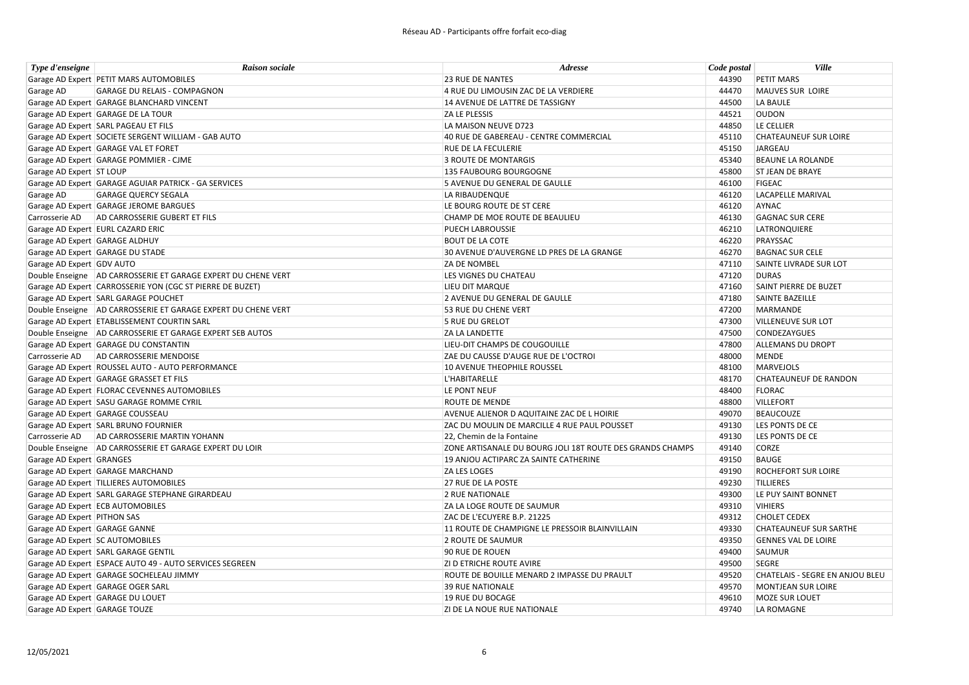| Type d'enseigne                | <b>Raison sociale</b>                                         | Adresse                                                   | Code postal | <b>Ville</b>                    |
|--------------------------------|---------------------------------------------------------------|-----------------------------------------------------------|-------------|---------------------------------|
|                                | Garage AD Expert PETIT MARS AUTOMOBILES                       | <b>23 RUE DE NANTES</b>                                   | 44390       | <b>PETIT MARS</b>               |
| Garage AD                      | <b>GARAGE DU RELAIS - COMPAGNON</b>                           | 4 RUE DU LIMOUSIN ZAC DE LA VERDIERE                      | 44470       | MAUVES SUR LOIRE                |
|                                | Garage AD Expert GARAGE BLANCHARD VINCENT                     | 14 AVENUE DE LATTRE DE TASSIGNY                           | 44500       | LA BAULE                        |
|                                | Garage AD Expert GARAGE DE LA TOUR                            | ZA LE PLESSIS                                             | 44521       | <b>OUDON</b>                    |
|                                | Garage AD Expert SARL PAGEAU ET FILS                          | LA MAISON NEUVE D723                                      | 44850       | LE CELLIER                      |
|                                | Garage AD Expert SOCIETE SERGENT WILLIAM - GAB AUTO           | 40 RUE DE GABEREAU - CENTRE COMMERCIAL                    | 45110       | <b>CHATEAUNEUF SUR LOIRE</b>    |
|                                | Garage AD Expert GARAGE VAL ET FORET                          | <b>RUE DE LA FECULERIE</b>                                | 45150       | JARGEAU                         |
|                                | Garage AD Expert GARAGE POMMIER - CJME                        | <b>3 ROUTE DE MONTARGIS</b>                               | 45340       | <b>BEAUNE LA ROLANDE</b>        |
| Garage AD Expert ST LOUP       |                                                               | 135 FAUBOURG BOURGOGNE                                    | 45800       | <b>ST JEAN DE BRAYE</b>         |
|                                | Garage AD Expert GARAGE AGUIAR PATRICK - GA SERVICES          | 5 AVENUE DU GENERAL DE GAULLE                             | 46100       | <b>FIGEAC</b>                   |
| Garage AD                      | <b>GARAGE QUERCY SEGALA</b>                                   | LA RIBAUDENQUE                                            | 46120       | <b>LACAPELLE MARIVAL</b>        |
|                                | Garage AD Expert GARAGE JEROME BARGUES                        | LE BOURG ROUTE DE ST CERE                                 | 46120       | <b>AYNAC</b>                    |
| Carrosserie AD                 | AD CARROSSERIE GUBERT ET FILS                                 | CHAMP DE MOE ROUTE DE BEAULIEU                            | 46130       | <b>GAGNAC SUR CERE</b>          |
|                                | Garage AD Expert EURL CAZARD ERIC                             | PUECH LABROUSSIE                                          | 46210       | LATRONQUIERE                    |
| Garage AD Expert GARAGE ALDHUY |                                                               | <b>BOUT DE LA COTE</b>                                    | 46220       | PRAYSSAC                        |
|                                | Garage AD Expert GARAGE DU STADE                              | 30 AVENUE D'AUVERGNE LD PRES DE LA GRANGE                 | 46270       | <b>BAGNAC SUR CELE</b>          |
| Garage AD Expert GDV AUTO      |                                                               | ZA DE NOMBEL                                              | 47110       | SAINTE LIVRADE SUR LOT          |
|                                | Double Enseigne AD CARROSSERIE ET GARAGE EXPERT DU CHENE VERT | LES VIGNES DU CHATEAU                                     | 47120       | <b>DURAS</b>                    |
|                                | Garage AD Expert CARROSSERIE YON (CGC ST PIERRE DE BUZET)     | LIEU DIT MARQUE                                           | 47160       | SAINT PIERRE DE BUZET           |
|                                | Garage AD Expert SARL GARAGE POUCHET                          | 2 AVENUE DU GENERAL DE GAULLE                             | 47180       | SAINTE BAZEILLE                 |
|                                | Double Enseigne AD CARROSSERIE ET GARAGE EXPERT DU CHENE VERT | 53 RUE DU CHENE VERT                                      | 47200       | <b>MARMANDE</b>                 |
|                                | Garage AD Expert ETABLISSEMENT COURTIN SARL                   | 5 RUE DU GRELOT                                           | 47300       | <b>VILLENEUVE SUR LOT</b>       |
|                                | Double Enseigne   AD CARROSSERIE ET GARAGE EXPERT SEB AUTOS   | <b>ZA LA LANDETTE</b>                                     | 47500       | <b>CONDEZAYGUES</b>             |
|                                | Garage AD Expert GARAGE DU CONSTANTIN                         | LIEU-DIT CHAMPS DE COUGOUILLE                             | 47800       | <b>ALLEMANS DU DROPT</b>        |
| Carrosserie AD                 | AD CARROSSERIE MENDOISE                                       | ZAE DU CAUSSE D'AUGE RUE DE L'OCTROI                      | 48000       | <b>MENDE</b>                    |
|                                | Garage AD Expert ROUSSEL AUTO - AUTO PERFORMANCE              | 10 AVENUE THEOPHILE ROUSSEL                               | 48100       | <b>MARVEJOLS</b>                |
|                                | Garage AD Expert GARAGE GRASSET ET FILS                       | L'HABITARELLE                                             | 48170       | <b>CHATEAUNEUF DE RANDON</b>    |
|                                | Garage AD Expert FLORAC CEVENNES AUTOMOBILES                  | LE PONT NEUF                                              | 48400       | <b>FLORAC</b>                   |
|                                | Garage AD Expert SASU GARAGE ROMME CYRIL                      | <b>ROUTE DE MENDE</b>                                     | 48800       | <b>VILLEFORT</b>                |
|                                | Garage AD Expert GARAGE COUSSEAU                              | AVENUE ALIENOR D AQUITAINE ZAC DE L HOIRIE                | 49070       | <b>BEAUCOUZE</b>                |
|                                | Garage AD Expert SARL BRUNO FOURNIER                          | ZAC DU MOULIN DE MARCILLE 4 RUE PAUL POUSSET              | 49130       | LES PONTS DE CE                 |
| Carrosserie AD                 | AD CARROSSERIE MARTIN YOHANN                                  | 22, Chemin de la Fontaine                                 | 49130       | LES PONTS DE CE                 |
|                                | Double Enseigne AD CARROSSERIE ET GARAGE EXPERT DU LOIR       | ZONE ARTISANALE DU BOURG JOLI 18T ROUTE DES GRANDS CHAMPS | 49140       | <b>CORZE</b>                    |
| Garage AD Expert GRANGES       |                                                               | 19 ANJOU ACTIPARC ZA SAINTE CATHERINE                     | 49150       | <b>BAUGE</b>                    |
|                                | Garage AD Expert GARAGE MARCHAND                              | <b>ZA LES LOGES</b>                                       | 49190       | <b>ROCHEFORT SUR LOIRE</b>      |
|                                | Garage AD Expert TILLIERES AUTOMOBILES                        | 27 RUE DE LA POSTE                                        | 49230       | <b>TILLIERES</b>                |
|                                | Garage AD Expert SARL GARAGE STEPHANE GIRARDEAU               | 2 RUE NATIONALE                                           | 49300       | LE PUY SAINT BONNET             |
|                                | Garage AD Expert ECB AUTOMOBILES                              | ZA LA LOGE ROUTE DE SAUMUR                                | 49310       | <b>VIHIERS</b>                  |
| Garage AD Expert PITHON SAS    |                                                               | ZAC DE L'ECUYERE B.P. 21225                               | 49312       | <b>CHOLET CEDEX</b>             |
| Garage AD Expert GARAGE GANNE  |                                                               | 11 ROUTE DE CHAMPIGNE LE PRESSOIR BLAINVILLAIN            | 49330       | <b>CHATEAUNEUF SUR SARTHE</b>   |
|                                | Garage AD Expert SC AUTOMOBILES                               | 2 ROUTE DE SAUMUR                                         | 49350       | <b>GENNES VAL DE LOIRE</b>      |
|                                | Garage AD Expert SARL GARAGE GENTIL                           | 90 RUE DE ROUEN                                           | 49400       | SAUMUR                          |
|                                | Garage AD Expert ESPACE AUTO 49 - AUTO SERVICES SEGREEN       | <b>ZI D ETRICHE ROUTE AVIRE</b>                           | 49500       | <b>SEGRE</b>                    |
|                                | Garage AD Expert GARAGE SOCHELEAU JIMMY                       | ROUTE DE BOUILLE MENARD 2 IMPASSE DU PRAULT               | 49520       | CHATELAIS - SEGRE EN ANJOU BLEU |
|                                | Garage AD Expert GARAGE OGER SARL                             | <b>39 RUE NATIONALE</b>                                   | 49570       | <b>MONTJEAN SUR LOIRE</b>       |
|                                | Garage AD Expert GARAGE DU LOUET                              | 19 RUE DU BOCAGE                                          | 49610       | <b>MOZE SUR LOUET</b>           |
| Garage AD Expert GARAGE TOUZE  |                                                               | ZI DE LA NOUE RUE NATIONALE                               | 49740       | LA ROMAGNE                      |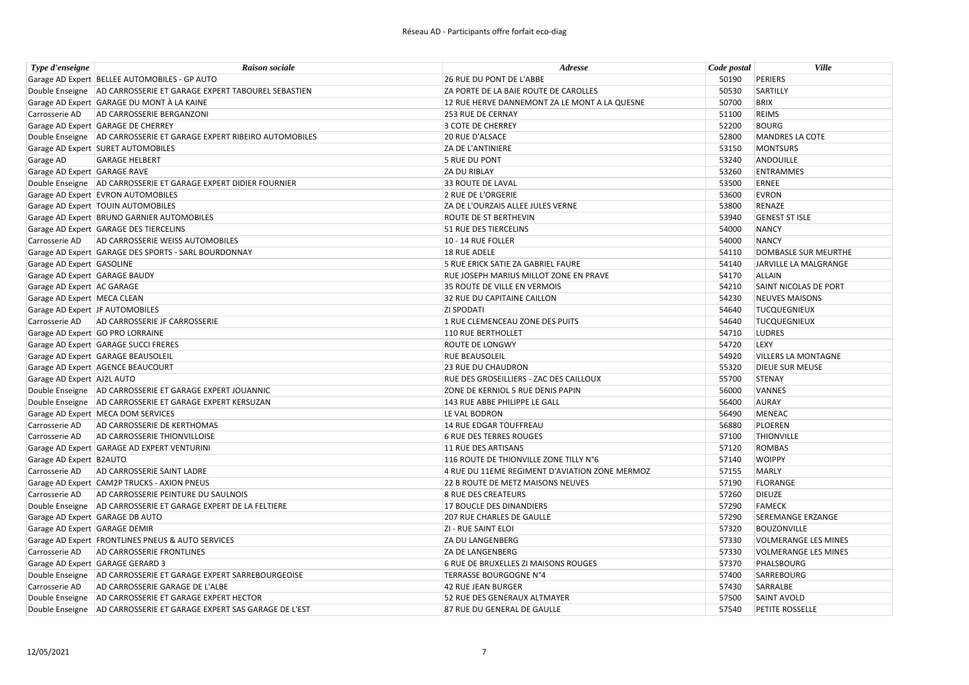| Type d'enseigne                 | <b>Raison sociale</b>                                               | Adresse                                        | Code postal | <b>Ville</b>                 |
|---------------------------------|---------------------------------------------------------------------|------------------------------------------------|-------------|------------------------------|
|                                 | Garage AD Expert   BELLEE AUTOMOBILES - GP AUTO                     | 26 RUE DU PONT DE L'ABBE                       | 50190       | <b>PERIERS</b>               |
|                                 | Double Enseigne AD CARROSSERIE ET GARAGE EXPERT TABOUREL SEBASTIEN  | ZA PORTE DE LA BAIE ROUTE DE CAROLLES          | 50530       | SARTILLY                     |
|                                 | Garage AD Expert GARAGE DU MONT À LA KAINE                          | 12 RUE HERVE DANNEMONT ZA LE MONT A LA QUESNE  | 50700       | <b>BRIX</b>                  |
| Carrosserie AD                  | AD CARROSSERIE BERGANZONI                                           | 253 RUE DE CERNAY                              | 51100       | <b>REIMS</b>                 |
|                                 | Garage AD Expert GARAGE DE CHERREY                                  | 3 COTE DE CHERREY                              | 52200       | <b>BOURG</b>                 |
|                                 | Double Enseigne AD CARROSSERIE ET GARAGE EXPERT RIBEIRO AUTOMOBILES | <b>20 RUE D'ALSACE</b>                         | 52800       | <b>MANDRES LA COTE</b>       |
|                                 | Garage AD Expert SURET AUTOMOBILES                                  | <b>ZA DE L'ANTINIERE</b>                       | 53150       | <b>MONTSURS</b>              |
| Garage AD                       | <b>GARAGE HELBERT</b>                                               | <b>5 RUE DU PONT</b>                           | 53240       | ANDOUILLE                    |
| Garage AD Expert GARAGE RAVE    |                                                                     | <b>ZA DU RIBLAY</b>                            | 53260       | <b>ENTRAMMES</b>             |
|                                 | Double Enseigne AD CARROSSERIE ET GARAGE EXPERT DIDIER FOURNIER     | <b>33 ROUTE DE LAVAL</b>                       | 53500       | <b>ERNEE</b>                 |
|                                 | Garage AD Expert EVRON AUTOMOBILES                                  | 2 RUE DE L'ORGERIE                             | 53600       | <b>EVRON</b>                 |
|                                 | Garage AD Expert   TOUIN AUTOMOBILES                                | ZA DE L'OURZAIS ALLEE JULES VERNE              | 53800       | RENAZE                       |
|                                 | Garage AD Expert BRUNO GARNIER AUTOMOBILES                          | ROUTE DE ST BERTHEVIN                          | 53940       | <b>GENEST ST ISLE</b>        |
|                                 | Garage AD Expert GARAGE DES TIERCELINS                              | 51 RUE DES TIERCELINS                          | 54000       | <b>NANCY</b>                 |
|                                 | Carrosserie AD   AD CARROSSERIE WEISS AUTOMOBILES                   | 10 - 14 RUE FOLLER                             | 54000       | <b>NANCY</b>                 |
|                                 | Garage AD Expert GARAGE DES SPORTS - SARL BOURDONNAY                | 18 RUE ADELE                                   | 54110       | <b>DOMBASLE SUR MEURTHE</b>  |
| Garage AD Expert GASOLINE       |                                                                     | 5 RUE ERICK SATIE ZA GABRIEL FAURE             | 54140       | JARVILLE LA MALGRANGE        |
| Garage AD Expert GARAGE BAUDY   |                                                                     | RUE JOSEPH MARIUS MILLOT ZONE EN PRAVE         | 54170       | <b>ALLAIN</b>                |
| Garage AD Expert AC GARAGE      |                                                                     | 35 ROUTE DE VILLE EN VERMOIS                   | 54210       | <b>SAINT NICOLAS DE PORT</b> |
| Garage AD Expert   MECA CLEAN   |                                                                     | 32 RUE DU CAPITAINE CAILLON                    | 54230       | <b>NEUVES MAISONS</b>        |
| Garage AD Expert JF AUTOMOBILES |                                                                     | <b>ZI SPODATI</b>                              | 54640       | <b>TUCQUEGNIEUX</b>          |
|                                 | Carrosserie AD AD CARROSSERIE JF CARROSSERIE                        | 1 RUE CLEMENCEAU ZONE DES PUITS                | 54640       | <b>TUCQUEGNIEUX</b>          |
|                                 | Garage AD Expert GO PRO LORRAINE                                    | 110 RUE BERTHOLLET                             | 54710       | <b>LUDRES</b>                |
|                                 | Garage AD Expert GARAGE SUCCI FRERES                                | <b>ROUTE DE LONGWY</b>                         | 54720       | LEXY                         |
|                                 | Garage AD Expert GARAGE BEAUSOLEIL                                  | <b>RUE BEAUSOLEIL</b>                          | 54920       | <b>VILLERS LA MONTAGNE</b>   |
|                                 | Garage AD Expert AGENCE BEAUCOURT                                   | <b>23 RUE DU CHAUDRON</b>                      | 55320       | <b>DIEUE SUR MEUSE</b>       |
| Garage AD Expert AJ2L AUTO      |                                                                     | RUE DES GROSEILLIERS - ZAC DES CAILLOUX        | 55700       | <b>STENAY</b>                |
|                                 | Double Enseigne   AD CARROSSERIE ET GARAGE EXPERT JOUANNIC          | ZONE DE KERNIOL 5 RUE DENIS PAPIN              | 56000       | VANNES                       |
|                                 | Double Enseigne   AD CARROSSERIE ET GARAGE EXPERT KERSUZAN          | 143 RUE ABBE PHILIPPE LE GALL                  | 56400       | <b>AURAY</b>                 |
|                                 | Garage AD Expert   MECA DOM SERVICES                                | LE VAL BODRON                                  | 56490       | <b>MENEAC</b>                |
| Carrosserie AD                  | AD CARROSSERIE DE KERTHOMAS                                         | 14 RUE EDGAR TOUFFREAU                         | 56880       | PLOEREN                      |
| Carrosserie AD                  | AD CARROSSERIE THIONVILLOISE                                        | <b>6 RUE DES TERRES ROUGES</b>                 | 57100       | THIONVILLE                   |
|                                 | Garage AD Expert GARAGE AD EXPERT VENTURINI                         | 11 RUE DES ARTISANS                            | 57120       | <b>ROMBAS</b>                |
| Garage AD Expert B2AUTO         |                                                                     | 116 ROUTE DE THIONVILLE ZONE TILLY N°6         | 57140       | <b>WOIPPY</b>                |
| Carrosserie AD                  | AD CARROSSERIE SAINT LADRE                                          | 4 RUE DU 11EME REGIMENT D'AVIATION ZONE MERMOZ | 57155       | <b>MARLY</b>                 |
|                                 | Garage AD Expert CAM2P TRUCKS - AXION PNEUS                         | 22 B ROUTE DE METZ MAISONS NEUVES              | 57190       | <b>FLORANGE</b>              |
| Carrosserie AD                  | AD CARROSSERIE PEINTURE DU SAULNOIS                                 | <b>8 RUE DES CREATEURS</b>                     | 57260       | <b>DIEUZE</b>                |
|                                 | Double Enseigne AD CARROSSERIE ET GARAGE EXPERT DE LA FELTIERE      | 17 BOUCLE DES DINANDIERS                       | 57290       | <b>FAMECK</b>                |
|                                 | Garage AD Expert GARAGE DB AUTO                                     | <b>207 RUE CHARLES DE GAULLE</b>               | 57290       | <b>SEREMANGE ERZANGE</b>     |
| Garage AD Expert GARAGE DEMIR   |                                                                     | ZI - RUE SAINT ELOI                            | 57320       | <b>BOUZONVILLE</b>           |
|                                 | Garage AD Expert FRONTLINES PNEUS & AUTO SERVICES                   | <b>ZA DU LANGENBERG</b>                        | 57330       | <b>VOLMERANGE LES MINES</b>  |
| Carrosserie AD                  | <b>AD CARROSSERIE FRONTLINES</b>                                    | <b>ZA DE LANGENBERG</b>                        | 57330       | <b>VOLMERANGE LES MINES</b>  |
|                                 | Garage AD Expert GARAGE GERARD 3                                    | 6 RUE DE BRUXELLES ZI MAISONS ROUGES           | 57370       | PHALSBOURG                   |
|                                 | Double Enseigne   AD CARROSSERIE ET GARAGE EXPERT SARREBOURGEOISE   | TERRASSE BOURGOGNE N°4                         | 57400       | SARREBOURG                   |
| Carrosserie AD                  | AD CARROSSERIE GARAGE DE L'ALBE                                     | 42 RUE JEAN BURGER                             | 57430       | SARRALBE                     |
|                                 | Double Enseigne   AD CARROSSERIE ET GARAGE EXPERT HECTOR            | 52 RUE DES GENERAUX ALTMAYER                   | 57500       | <b>SAINT AVOLD</b>           |
|                                 | Double Enseigne AD CARROSSERIE ET GARAGE EXPERT SAS GARAGE DE L'EST | 87 RUE DU GENERAL DE GAULLE                    | 57540       | PETITE ROSSELLE              |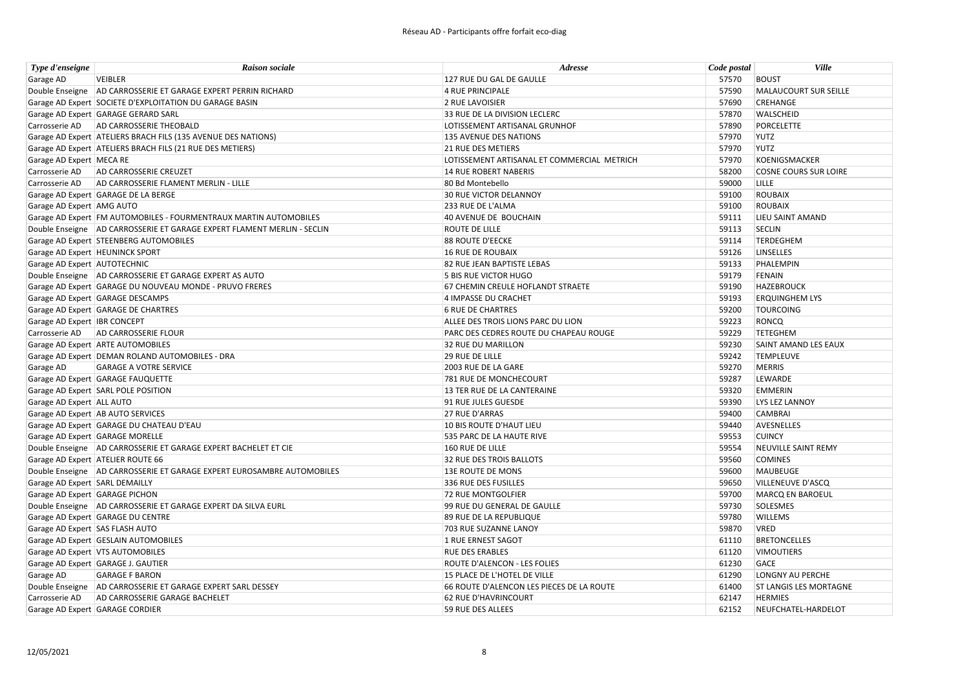| Type d'enseigne                 | <b>Raison sociale</b>                                                     | Adresse                                     | Code postal | Ville                         |
|---------------------------------|---------------------------------------------------------------------------|---------------------------------------------|-------------|-------------------------------|
| Garage AD                       | <b>VEIBLER</b>                                                            | 127 RUE DU GAL DE GAULLE                    | 57570       | <b>BOUST</b>                  |
|                                 | Double Enseigne AD CARROSSERIE ET GARAGE EXPERT PERRIN RICHARD            | 4 RUE PRINCIPALE                            | 57590       | <b>MALAUCOURT SUR SEILLE</b>  |
|                                 | Garage AD Expert SOCIETE D'EXPLOITATION DU GARAGE BASIN                   | 2 RUE LAVOISIER                             | 57690       | CREHANGE                      |
|                                 | Garage AD Expert GARAGE GERARD SARL                                       | 33 RUE DE LA DIVISION LECLERC               | 57870       | <b>WALSCHEID</b>              |
|                                 | Carrosserie AD   AD CARROSSERIE THEOBALD                                  | LOTISSEMENT ARTISANAL GRUNHOF               | 57890       | <b>PORCELETTE</b>             |
|                                 | Garage AD Expert ATELIERS BRACH FILS (135 AVENUE DES NATIONS)             | 135 AVENUE DES NATIONS                      | 57970       | <b>YUTZ</b>                   |
|                                 | Garage AD Expert ATELIERS BRACH FILS (21 RUE DES METIERS)                 | <b>21 RUE DES METIERS</b>                   | 57970       | <b>YUTZ</b>                   |
| Garage AD Expert MECA RE        |                                                                           | LOTISSEMENT ARTISANAL ET COMMERCIAL METRICH | 57970       | <b>KOENIGSMACKER</b>          |
| Carrosserie AD                  | AD CARROSSERIE CREUZET                                                    | 14 RUE ROBERT NABERIS                       | 58200       | <b>COSNE COURS SUR LOIRE</b>  |
| Carrosserie AD                  | AD CARROSSERIE FLAMENT MERLIN - LILLE                                     | 80 Bd Montebello                            | 59000       | LILLE                         |
|                                 | Garage AD Expert GARAGE DE LA BERGE                                       | <b>30 RUE VICTOR DELANNOY</b>               | 59100       | <b>ROUBAIX</b>                |
| Garage AD Expert AMG AUTO       |                                                                           | 233 RUE DE L'ALMA                           | 59100       | <b>ROUBAIX</b>                |
|                                 | Garage AD Expert FM AUTOMOBILES - FOURMENTRAUX MARTIN AUTOMOBILES         | 40 AVENUE DE BOUCHAIN                       | 59111       | LIEU SAINT AMAND              |
|                                 | Double Enseigne   AD CARROSSERIE ET GARAGE EXPERT FLAMENT MERLIN - SECLIN | <b>ROUTE DE LILLE</b>                       | 59113       | <b>SECLIN</b>                 |
|                                 | Garage AD Expert STEENBERG AUTOMOBILES                                    | 88 ROUTE D'EECKE                            | 59114       | <b>TERDEGHEM</b>              |
|                                 | Garage AD Expert   HEUNINCK SPORT                                         | 16 RUE DE ROUBAIX                           | 59126       | <b>LINSELLES</b>              |
| Garage AD Expert AUTOTECHNIC    |                                                                           | 82 RUE JEAN BAPTISTE LEBAS                  | 59133       | PHALEMPIN                     |
|                                 | Double Enseigne AD CARROSSERIE ET GARAGE EXPERT AS AUTO                   | 5 BIS RUE VICTOR HUGO                       | 59179       | <b>FENAIN</b>                 |
|                                 | Garage AD Expert GARAGE DU NOUVEAU MONDE - PRUVO FRERES                   | 67 CHEMIN CREULE HOFLANDT STRAETE           | 59190       | <b>HAZEBROUCK</b>             |
|                                 | Garage AD Expert GARAGE DESCAMPS                                          | 4 IMPASSE DU CRACHET                        | 59193       | <b>ERQUINGHEM LYS</b>         |
|                                 | Garage AD Expert GARAGE DE CHARTRES                                       | <b>6 RUE DE CHARTRES</b>                    | 59200       | <b>TOURCOING</b>              |
| Garage AD Expert IBR CONCEPT    |                                                                           | ALLEE DES TROIS LIONS PARC DU LION          | 59223       | RONCQ                         |
|                                 | Carrosserie AD AD CARROSSERIE FLOUR                                       | PARC DES CEDRES ROUTE DU CHAPEAU ROUGE      | 59229       | <b>TETEGHEM</b>               |
|                                 | Garage AD Expert ARTE AUTOMOBILES                                         | 32 RUE DU MARILLON                          | 59230       | <b>SAINT AMAND LES EAUX</b>   |
|                                 | Garage AD Expert DEMAN ROLAND AUTOMOBILES - DRA                           | <b>29 RUE DE LILLE</b>                      | 59242       | <b>TEMPLEUVE</b>              |
| Garage AD                       | <b>GARAGE A VOTRE SERVICE</b>                                             | 2003 RUE DE LA GARE                         | 59270       | <b>MERRIS</b>                 |
|                                 | Garage AD Expert GARAGE FAUQUETTE                                         | 781 RUE DE MONCHECOURT                      | 59287       | LEWARDE                       |
|                                 | Garage AD Expert SARL POLE POSITION                                       | 13 TER RUE DE LA CANTERAINE                 | 59320       | <b>EMMERIN</b>                |
| Garage AD Expert ALL AUTO       |                                                                           | 91 RUE JULES GUESDE                         | 59390       | LYS LEZ LANNOY                |
|                                 | Garage AD Expert AB AUTO SERVICES                                         | <b>27 RUE D'ARRAS</b>                       | 59400       | <b>CAMBRAI</b>                |
|                                 | Garage AD Expert GARAGE DU CHATEAU D'EAU                                  | 10 BIS ROUTE D'HAUT LIEU                    | 59440       | AVESNELLES                    |
|                                 | Garage AD Expert GARAGE MORELLE                                           | 535 PARC DE LA HAUTE RIVE                   | 59553       | <b>CUINCY</b>                 |
|                                 | Double Enseigne AD CARROSSERIE ET GARAGE EXPERT BACHELET ET CIE           | 160 RUE DE LILLE                            | 59554       | <b>NEUVILLE SAINT REMY</b>    |
|                                 | Garage AD Expert ATELIER ROUTE 66                                         | 32 RUE DES TROIS BALLOTS                    | 59560       | <b>COMINES</b>                |
|                                 | Double Enseigne AD CARROSSERIE ET GARAGE EXPERT EUROSAMBRE AUTOMOBILES    | <b>13E ROUTE DE MONS</b>                    | 59600       | <b>MAUBEUGE</b>               |
| Garage AD Expert SARL DEMAILLY  |                                                                           | 336 RUE DES FUSILLES                        | 59650       | <b>VILLENEUVE D'ASCQ</b>      |
| Garage AD Expert GARAGE PICHON  |                                                                           | 72 RUE MONTGOLFIER                          | 59700       | <b>MARCQ EN BAROEUL</b>       |
|                                 | Double Enseigne AD CARROSSERIE ET GARAGE EXPERT DA SILVA EURL             | 99 RUE DU GENERAL DE GAULLE                 | 59730       | SOLESMES                      |
|                                 | Garage AD Expert GARAGE DU CENTRE                                         | 89 RUE DE LA REPUBLIQUE                     | 59780       | <b>WILLEMS</b>                |
| Garage AD Expert SAS FLASH AUTO |                                                                           | 703 RUE SUZANNE LANOY                       | 59870       | <b>VRED</b>                   |
|                                 | Garage AD Expert GESLAIN AUTOMOBILES                                      | 1 RUE ERNEST SAGOT                          | 61110       | <b>BRETONCELLES</b>           |
|                                 | Garage AD Expert VTS AUTOMOBILES                                          | <b>RUE DES ERABLES</b>                      | 61120       | <b>VIMOUTIERS</b>             |
|                                 | Garage AD Expert GARAGE J. GAUTIER                                        | ROUTE D'ALENCON - LES FOLIES                | 61230       | GACE                          |
| Garage AD                       | <b>GARAGE F BARON</b>                                                     | 15 PLACE DE L'HOTEL DE VILLE                | 61290       | <b>LONGNY AU PERCHE</b>       |
|                                 | Double Enseigne   AD CARROSSERIE ET GARAGE EXPERT SARL DESSEY             | 66 ROUTE D'ALENCON LES PIECES DE LA ROUTE   | 61400       | <b>ST LANGIS LES MORTAGNE</b> |
| Carrosserie AD                  | AD CARROSSERIE GARAGE BACHELET                                            | 62 RUE D'HAVRINCOURT                        | 62147       | <b>HERMIES</b>                |
|                                 | Garage AD Expert GARAGE CORDIER                                           | 59 RUE DES ALLEES                           | 62152       | NEUFCHATEL-HARDELOT           |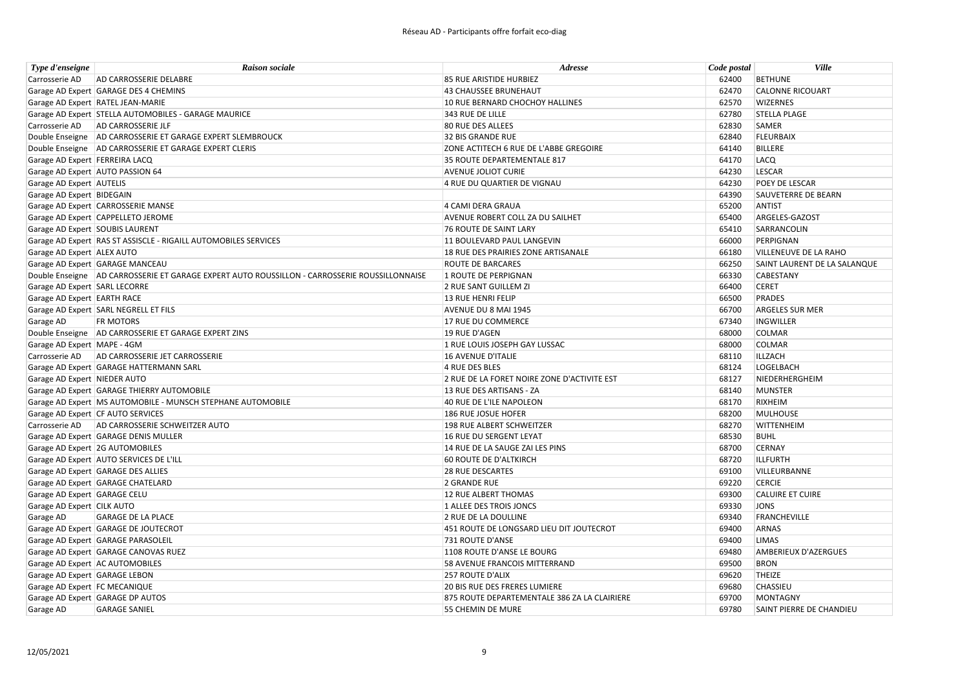| Type d'enseigne                 | <b>Raison sociale</b>                                                                         | <b>Adresse</b>                               | Code postal | <b>Ville</b>                 |
|---------------------------------|-----------------------------------------------------------------------------------------------|----------------------------------------------|-------------|------------------------------|
| Carrosserie AD                  | AD CARROSSERIE DELABRE                                                                        | 85 RUE ARISTIDE HURBIEZ                      | 62400       | <b>BETHUNE</b>               |
|                                 | Garage AD Expert GARAGE DES 4 CHEMINS                                                         | <b>43 CHAUSSEE BRUNEHAUT</b>                 | 62470       | <b>CALONNE RICOUART</b>      |
|                                 | Garage AD Expert RATEL JEAN-MARIE                                                             | 10 RUE BERNARD CHOCHOY HALLINES              | 62570       | <b>WIZERNES</b>              |
|                                 | Garage AD Expert STELLA AUTOMOBILES - GARAGE MAURICE                                          | 343 RUE DE LILLE                             | 62780       | <b>STELLA PLAGE</b>          |
|                                 | Carrosserie AD   AD CARROSSERIE JLF                                                           | 80 RUE DES ALLEES                            | 62830       | <b>SAMER</b>                 |
|                                 | Double Enseigne AD CARROSSERIE ET GARAGE EXPERT SLEMBROUCK                                    | 32 BIS GRANDE RUE                            | 62840       | <b>FLEURBAIX</b>             |
|                                 | Double Enseigne   AD CARROSSERIE ET GARAGE EXPERT CLERIS                                      | ZONE ACTITECH 6 RUE DE L'ABBE GREGOIRE       | 64140       | <b>BILLERE</b>               |
| Garage AD Expert FERREIRA LACQ  |                                                                                               | 35 ROUTE DEPARTEMENTALE 817                  | 64170       | LACQ                         |
|                                 | Garage AD Expert AUTO PASSION 64                                                              | <b>AVENUE JOLIOT CURIE</b>                   | 64230       | <b>LESCAR</b>                |
| Garage AD Expert AUTELIS        |                                                                                               | 4 RUE DU QUARTIER DE VIGNAU                  | 64230       | POEY DE LESCAR               |
| Garage AD Expert BIDEGAIN       |                                                                                               |                                              | 64390       | SAUVETERRE DE BEARN          |
|                                 | Garage AD Expert CARROSSERIE MANSE                                                            | 4 CAMI DERA GRAUA                            | 65200       | <b>ANTIST</b>                |
|                                 | Garage AD Expert CAPPELLETO JEROME                                                            | AVENUE ROBERT COLL ZA DU SAILHET             | 65400       | ARGELES-GAZOST               |
| Garage AD Expert SOUBIS LAURENT |                                                                                               | <b>76 ROUTE DE SAINT LARY</b>                | 65410       | SARRANCOLIN                  |
|                                 | Garage AD Expert RAS ST ASSISCLE - RIGAILL AUTOMOBILES SERVICES                               | 11 BOULEVARD PAUL LANGEVIN                   | 66000       | PERPIGNAN                    |
| Garage AD Expert ALEX AUTO      |                                                                                               | 18 RUE DES PRAIRIES ZONE ARTISANALE          | 66180       | <b>VILLENEUVE DE LA RAHO</b> |
|                                 | Garage AD Expert GARAGE MANCEAU                                                               | <b>ROUTE DE BARCARES</b>                     | 66250       | SAINT LAURENT DE LA SALANQUE |
|                                 | Double Enseigne AD CARROSSERIE ET GARAGE EXPERT AUTO ROUSSILLON - CARROSSERIE ROUSSILLONNAISE | 1 ROUTE DE PERPIGNAN                         | 66330       | <b>CABESTANY</b>             |
| Garage AD Expert SARL LECORRE   |                                                                                               | 2 RUE SANT GUILLEM ZI                        | 66400       | <b>CERET</b>                 |
| Garage AD Expert EARTH RACE     |                                                                                               | 13 RUE HENRI FELIP                           | 66500       | <b>PRADES</b>                |
|                                 | Garage AD Expert SARL NEGRELL ET FILS                                                         | AVENUE DU 8 MAI 1945                         | 66700       | <b>ARGELES SUR MER</b>       |
| Garage AD                       | <b>FR MOTORS</b>                                                                              | 17 RUE DU COMMERCE                           | 67340       | INGWILLER                    |
|                                 | Double Enseigne AD CARROSSERIE ET GARAGE EXPERT ZINS                                          | 19 RUE D'AGEN                                | 68000       | <b>COLMAR</b>                |
| Garage AD Expert   MAPE - 4GM   |                                                                                               | 1 RUE LOUIS JOSEPH GAY LUSSAC                | 68000       | <b>COLMAR</b>                |
|                                 | Carrosserie AD AD CARROSSERIE JET CARROSSERIE                                                 | 16 AVENUE D'ITALIE                           | 68110       | ILLZACH                      |
|                                 | Garage AD Expert GARAGE HATTERMANN SARL                                                       | 4 RUE DES BLES                               | 68124       | LOGELBACH                    |
| Garage AD Expert NIEDER AUTO    |                                                                                               | 2 RUE DE LA FORET NOIRE ZONE D'ACTIVITE EST  | 68127       | NIEDERHERGHEIM               |
|                                 | Garage AD Expert GARAGE THIERRY AUTOMOBILE                                                    | 13 RUE DES ARTISANS - ZA                     | 68140       | <b>MUNSTER</b>               |
|                                 | Garage AD Expert   MS AUTOMOBILE - MUNSCH STEPHANE AUTOMOBILE                                 | 40 RUE DE L'ILE NAPOLEON                     | 68170       | RIXHEIM                      |
|                                 | Garage AD Expert CF AUTO SERVICES                                                             | 186 RUE JOSUE HOFER                          | 68200       | <b>MULHOUSE</b>              |
|                                 | Carrosserie AD   AD CARROSSERIE SCHWEITZER AUTO                                               | 198 RUE ALBERT SCHWEITZER                    | 68270       | <b>WITTENHEIM</b>            |
|                                 | Garage AD Expert GARAGE DENIS MULLER                                                          | 16 RUE DU SERGENT LEYAT                      | 68530       | <b>BUHL</b>                  |
|                                 | Garage AD Expert 2G AUTOMOBILES                                                               | 14 RUE DE LA SAUGE ZAI LES PINS              | 68700       | <b>CERNAY</b>                |
|                                 | Garage AD Expert AUTO SERVICES DE L'ILL                                                       | <b>60 ROUTE DE D'ALTKIRCH</b>                | 68720       | <b>ILLFURTH</b>              |
|                                 | Garage AD Expert GARAGE DES ALLIES                                                            | <b>28 RUE DESCARTES</b>                      | 69100       | VILLEURBANNE                 |
|                                 | Garage AD Expert GARAGE CHATELARD                                                             | 2 GRANDE RUE                                 | 69220       | <b>CERCIE</b>                |
| Garage AD Expert GARAGE CELU    |                                                                                               | 12 RUE ALBERT THOMAS                         | 69300       | <b>CALUIRE ET CUIRE</b>      |
| Garage AD Expert CILK AUTO      |                                                                                               | 1 ALLEE DES TROIS JONCS                      | 69330       | <b>JONS</b>                  |
| Garage AD                       | <b>GARAGE DE LA PLACE</b>                                                                     | 2 RUE DE LA DOULLINE                         | 69340       | <b>FRANCHEVILLE</b>          |
|                                 | Garage AD Expert GARAGE DE JOUTECROT                                                          | 451 ROUTE DE LONGSARD LIEU DIT JOUTECROT     | 69400       | <b>ARNAS</b>                 |
|                                 | Garage AD Expert GARAGE PARASOLEIL                                                            | 731 ROUTE D'ANSE                             | 69400       | <b>LIMAS</b>                 |
|                                 | Garage AD Expert GARAGE CANOVAS RUEZ                                                          | 1108 ROUTE D'ANSE LE BOURG                   | 69480       | AMBERIEUX D'AZERGUES         |
|                                 | Garage AD Expert AC AUTOMOBILES                                                               | 58 AVENUE FRANCOIS MITTERRAND                | 69500       | <b>BRON</b>                  |
| Garage AD Expert GARAGE LEBON   |                                                                                               | <b>257 ROUTE D'ALIX</b>                      | 69620       | <b>THEIZE</b>                |
| Garage AD Expert FC MECANIQUE   |                                                                                               | 20 BIS RUE DES FRERES LUMIERE                | 69680       | CHASSIEU                     |
|                                 | Garage AD Expert GARAGE DP AUTOS                                                              | 875 ROUTE DEPARTEMENTALE 386 ZA LA CLAIRIERE | 69700       | <b>MONTAGNY</b>              |
| Garage AD                       | <b>GARAGE SANIEL</b>                                                                          | 55 CHEMIN DE MURE                            | 69780       | SAINT PIERRE DE CHANDIEU     |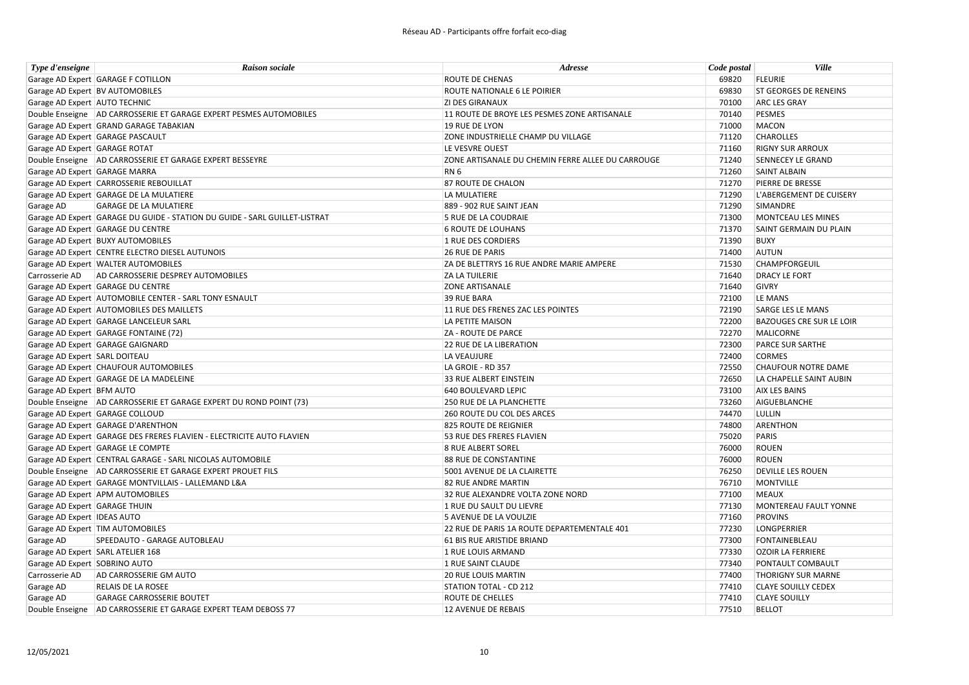| Type d'enseigne               | <b>Raison sociale</b>                                                      | Adresse                                           | Code postal | <b>Ville</b>                    |
|-------------------------------|----------------------------------------------------------------------------|---------------------------------------------------|-------------|---------------------------------|
|                               | Garage AD Expert GARAGE F COTILLON                                         | ROUTE DE CHENAS                                   | 69820       | <b>FLEURIE</b>                  |
|                               | Garage AD Expert BV AUTOMOBILES                                            | ROUTE NATIONALE 6 LE POIRIER                      | 69830       | <b>ST GEORGES DE RENEINS</b>    |
| Garage AD Expert AUTO TECHNIC |                                                                            | <b>ZI DES GIRANAUX</b>                            | 70100       | <b>ARC LES GRAY</b>             |
|                               | Double Enseigne   AD CARROSSERIE ET GARAGE EXPERT PESMES AUTOMOBILES       | 11 ROUTE DE BROYE LES PESMES ZONE ARTISANALE      | 70140       | <b>PESMES</b>                   |
|                               | Garage AD Expert GRAND GARAGE TABAKIAN                                     | 19 RUE DE LYON                                    | 71000       | MACON                           |
|                               | Garage AD Expert GARAGE PASCAULT                                           | ZONE INDUSTRIELLE CHAMP DU VILLAGE                | 71120       | <b>CHAROLLES</b>                |
| Garage AD Expert GARAGE ROTAT |                                                                            | LE VESVRE OUEST                                   | 71160       | <b>RIGNY SUR ARROUX</b>         |
|                               | Double Enseigne   AD CARROSSERIE ET GARAGE EXPERT BESSEYRE                 | ZONE ARTISANALE DU CHEMIN FERRE ALLEE DU CARROUGE | 71240       | <b>SENNECEY LE GRAND</b>        |
| Garage AD Expert GARAGE MARRA |                                                                            | RN <sub>6</sub>                                   | 71260       | <b>SAINT ALBAIN</b>             |
|                               | Garage AD Expert CARROSSERIE REBOUILLAT                                    | <b>87 ROUTE DE CHALON</b>                         | 71270       | PIERRE DE BRESSE                |
|                               | Garage AD Expert GARAGE DE LA MULATIERE                                    | LA MULATIERE                                      | 71290       | L'ABERGEMENT DE CUISERY         |
| Garage AD                     | <b>GARAGE DE LA MULATIERE</b>                                              | 889 - 902 RUE SAINT JEAN                          | 71290       | SIMANDRE                        |
|                               | Garage AD Expert GARAGE DU GUIDE - STATION DU GUIDE - SARL GUILLET-LISTRAT | 5 RUE DE LA COUDRAIE                              | 71300       | MONTCEAU LES MINES              |
|                               | Garage AD Expert GARAGE DU CENTRE                                          | <b>6 ROUTE DE LOUHANS</b>                         | 71370       | SAINT GERMAIN DU PLAIN          |
|                               | Garage AD Expert BUXY AUTOMOBILES                                          | 1 RUE DES CORDIERS                                | 71390       | <b>BUXY</b>                     |
|                               | Garage AD Expert CENTRE ELECTRO DIESEL AUTUNOIS                            | <b>26 RUE DE PARIS</b>                            | 71400       | <b>AUTUN</b>                    |
|                               | Garage AD Expert WALTER AUTOMOBILES                                        | ZA DE BLETTRYS 16 RUE ANDRE MARIE AMPERE          | 71530       | <b>CHAMPFORGEUIL</b>            |
| Carrosserie AD                | AD CARROSSERIE DESPREY AUTOMOBILES                                         | <b>ZA LA TUILERIE</b>                             | 71640       | <b>DRACY LE FORT</b>            |
|                               | Garage AD Expert GARAGE DU CENTRE                                          | <b>ZONE ARTISANALE</b>                            | 71640       | <b>GIVRY</b>                    |
|                               | Garage AD Expert AUTOMOBILE CENTER - SARL TONY ESNAULT                     | 39 RUE BARA                                       | 72100       | LE MANS                         |
|                               | Garage AD Expert AUTOMOBILES DES MAILLETS                                  | 11 RUE DES FRENES ZAC LES POINTES                 | 72190       | <b>SARGE LES LE MANS</b>        |
|                               | Garage AD Expert GARAGE LANCELEUR SARL                                     | LA PETITE MAISON                                  | 72200       | <b>BAZOUGES CRE SUR LE LOIR</b> |
|                               | Garage AD Expert GARAGE FONTAINE (72)                                      | ZA - ROUTE DE PARCE                               | 72270       | <b>MALICORNE</b>                |
|                               | Garage AD Expert GARAGE GAIGNARD                                           | <b>22 RUE DE LA LIBERATION</b>                    | 72300       | PARCE SUR SARTHE                |
| Garage AD Expert SARL DOITEAU |                                                                            | LA VEAUJURE                                       | 72400       | <b>CORMES</b>                   |
|                               | Garage AD Expert CHAUFOUR AUTOMOBILES                                      | LA GROIE - RD 357                                 | 72550       | <b>CHAUFOUR NOTRE DAME</b>      |
|                               | Garage AD Expert GARAGE DE LA MADELEINE                                    | 33 RUE ALBERT EINSTEIN                            | 72650       | LA CHAPELLE SAINT AUBIN         |
| Garage AD Expert BFM AUTO     |                                                                            | 640 BOULEVARD LEPIC                               | 73100       | <b>AIX LES BAINS</b>            |
|                               | Double Enseigne   AD CARROSSERIE ET GARAGE EXPERT DU ROND POINT (73)       | 250 RUE DE LA PLANCHETTE                          | 73260       | AIGUEBLANCHE                    |
|                               | Garage AD Expert GARAGE COLLOUD                                            | 260 ROUTE DU COL DES ARCES                        | 74470       | LULLIN                          |
|                               | Garage AD Expert GARAGE D'ARENTHON                                         | 825 ROUTE DE REIGNIER                             | 74800       | <b>ARENTHON</b>                 |
|                               | Garage AD Expert GARAGE DES FRERES FLAVIEN - ELECTRICITE AUTO FLAVIEN      | 53 RUE DES FRERES FLAVIEN                         | 75020       | <b>PARIS</b>                    |
|                               | Garage AD Expert GARAGE LE COMPTE                                          | 8 RUE ALBERT SOREL                                | 76000       | <b>ROUEN</b>                    |
|                               | Garage AD Expert CENTRAL GARAGE - SARL NICOLAS AUTOMOBILE                  | <b>88 RUE DE CONSTANTINE</b>                      | 76000       | <b>ROUEN</b>                    |
|                               | Double Enseigne   AD CARROSSERIE ET GARAGE EXPERT PROUET FILS              | 5001 AVENUE DE LA CLAIRETTE                       | 76250       | <b>DEVILLE LES ROUEN</b>        |
|                               | Garage AD Expert GARAGE MONTVILLAIS - LALLEMAND L&A                        | 82 RUE ANDRE MARTIN                               | 76710       | MONTVILLE                       |
|                               | Garage AD Expert APM AUTOMOBILES                                           | 32 RUE ALEXANDRE VOLTA ZONE NORD                  | 77100       | <b>MEAUX</b>                    |
| Garage AD Expert GARAGE THUIN |                                                                            | 1 RUE DU SAULT DU LIEVRE                          | 77130       | MONTEREAU FAULT YONNE           |
| Garage AD Expert IDEAS AUTO   |                                                                            | 5 AVENUE DE LA VOULZIE                            | 77160       | <b>PROVINS</b>                  |
|                               | Garage AD Expert   TIM AUTOMOBILES                                         | 22 RUE DE PARIS 1A ROUTE DEPARTEMENTALE 401       | 77230       | <b>LONGPERRIER</b>              |
| Garage AD                     | SPEEDAUTO - GARAGE AUTOBLEAU                                               | 61 BIS RUE ARISTIDE BRIAND                        | 77300       | FONTAINEBLEAU                   |
|                               | Garage AD Expert SARL ATELIER 168                                          | 1 RUE LOUIS ARMAND                                | 77330       | <b>OZOIR LA FERRIERE</b>        |
| Garage AD Expert SOBRINO AUTO |                                                                            | 1 RUE SAINT CLAUDE                                | 77340       | PONTAULT COMBAULT               |
| Carrosserie AD                | AD CARROSSERIE GM AUTO                                                     | <b>20 RUE LOUIS MARTIN</b>                        | 77400       | <b>THORIGNY SUR MARNE</b>       |
| Garage AD                     | <b>RELAIS DE LA ROSEE</b>                                                  | STATION TOTAL - CD 212                            | 77410       | <b>CLAYE SOUILLY CEDEX</b>      |
| Garage AD                     | <b>GARAGE CARROSSERIE BOUTET</b>                                           | <b>ROUTE DE CHELLES</b>                           | 77410       | <b>CLAYE SOUILLY</b>            |
|                               | Double Enseigne AD CARROSSERIE ET GARAGE EXPERT TEAM DEBOSS 77             | 12 AVENUE DE REBAIS                               | 77510       | <b>BELLOT</b>                   |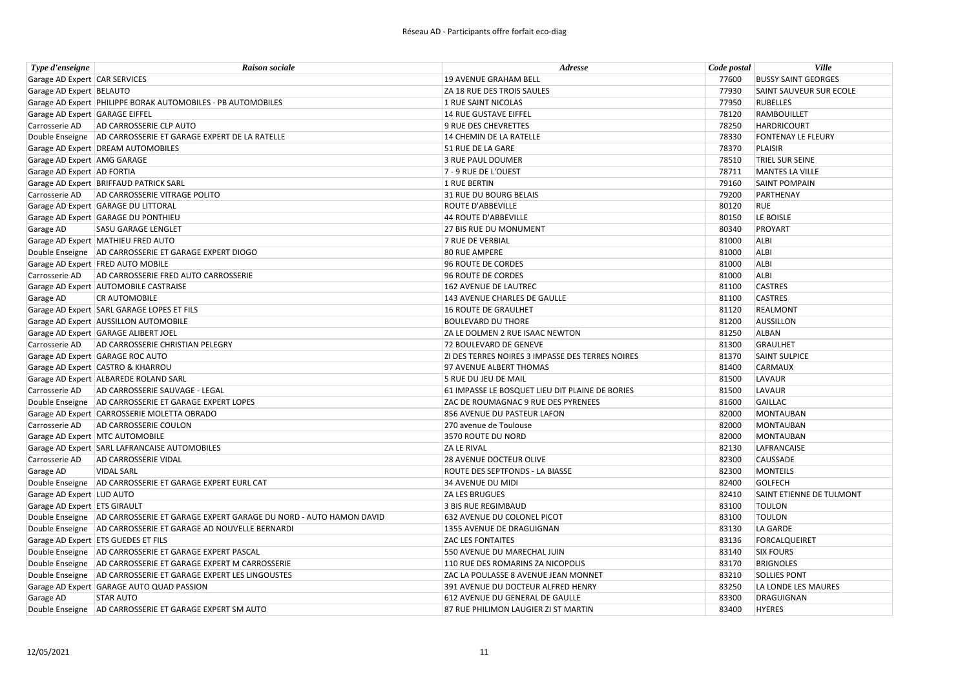| Type d'enseigne                | <b>Raison sociale</b>                                                             | Adresse                                          | Code postal | <b>Ville</b>               |
|--------------------------------|-----------------------------------------------------------------------------------|--------------------------------------------------|-------------|----------------------------|
| Garage AD Expert CAR SERVICES  |                                                                                   | 19 AVENUE GRAHAM BELL                            | 77600       | <b>BUSSY SAINT GEORGES</b> |
| Garage AD Expert BELAUTO       |                                                                                   | ZA 18 RUE DES TROIS SAULES                       | 77930       | SAINT SAUVEUR SUR ECOLE    |
|                                | Garage AD Expert PHILIPPE BORAK AUTOMOBILES - PB AUTOMOBILES                      | 1 RUE SAINT NICOLAS                              | 77950       | <b>RUBELLES</b>            |
| Garage AD Expert GARAGE EIFFEL |                                                                                   | 14 RUE GUSTAVE EIFFEL                            | 78120       | <b>RAMBOUILLET</b>         |
|                                | Carrosserie AD AD CARROSSERIE CLP AUTO                                            | 9 RUE DES CHEVRETTES                             | 78250       | <b>HARDRICOURT</b>         |
|                                | Double Enseigne AD CARROSSERIE ET GARAGE EXPERT DE LA RATELLE                     | 14 CHEMIN DE LA RATELLE                          | 78330       | <b>FONTENAY LE FLEURY</b>  |
|                                | Garage AD Expert DREAM AUTOMOBILES                                                | 51 RUE DE LA GARE                                | 78370       | <b>PLAISIR</b>             |
| Garage AD Expert AMG GARAGE    |                                                                                   | 3 RUE PAUL DOUMER                                | 78510       | <b>TRIEL SUR SEINE</b>     |
| Garage AD Expert AD FORTIA     |                                                                                   | 7 - 9 RUE DE L'OUEST                             | 78711       | MANTES LA VILLE            |
|                                | Garage AD Expert BRIFFAUD PATRICK SARL                                            | 1 RUE BERTIN                                     | 79160       | <b>SAINT POMPAIN</b>       |
|                                | Carrosserie AD   AD CARROSSERIE VITRAGE POLITO                                    | 31 RUE DU BOURG BELAIS                           | 79200       | PARTHENAY                  |
|                                | Garage AD Expert GARAGE DU LITTORAL                                               | <b>ROUTE D'ABBEVILLE</b>                         | 80120       | <b>RUE</b>                 |
|                                | Garage AD Expert GARAGE DU PONTHIEU                                               | <b>44 ROUTE D'ABBEVILLE</b>                      | 80150       | LE BOISLE                  |
| Garage AD                      | <b>SASU GARAGE LENGLET</b>                                                        | <b>27 BIS RUE DU MONUMENT</b>                    | 80340       | PROYART                    |
|                                | Garage AD Expert MATHIEU FRED AUTO                                                | <b>7 RUE DE VERBIAL</b>                          | 81000       | ALBI                       |
|                                | Double Enseigne   AD CARROSSERIE ET GARAGE EXPERT DIOGO                           | <b>80 RUE AMPERE</b>                             | 81000       | ALBI                       |
|                                | Garage AD Expert FRED AUTO MOBILE                                                 | 96 ROUTE DE CORDES                               | 81000       | ALBI                       |
|                                | Carrosserie AD AD CARROSSERIE FRED AUTO CARROSSERIE                               | 96 ROUTE DE CORDES                               | 81000       | ALBI                       |
|                                | Garage AD Expert AUTOMOBILE CASTRAISE                                             | 162 AVENUE DE LAUTREC                            | 81100       | <b>CASTRES</b>             |
| Garage AD                      | <b>CR AUTOMOBILE</b>                                                              | 143 AVENUE CHARLES DE GAULLE                     | 81100       | <b>CASTRES</b>             |
|                                | Garage AD Expert SARL GARAGE LOPES ET FILS                                        | 16 ROUTE DE GRAULHET                             | 81120       | <b>REALMONT</b>            |
|                                | Garage AD Expert AUSSILLON AUTOMOBILE                                             | <b>BOULEVARD DU THORE</b>                        | 81200       | <b>AUSSILLON</b>           |
|                                | Garage AD Expert GARAGE ALIBERT JOEL                                              | ZA LE DOLMEN 2 RUE ISAAC NEWTON                  | 81250       | ALBAN                      |
|                                | Carrosserie AD AD CARROSSERIE CHRISTIAN PELEGRY                                   | 72 BOULEVARD DE GENEVE                           | 81300       | <b>GRAULHET</b>            |
|                                | Garage AD Expert GARAGE ROC AUTO                                                  | ZI DES TERRES NOIRES 3 IMPASSE DES TERRES NOIRES | 81370       | <b>SAINT SULPICE</b>       |
|                                | Garage AD Expert CASTRO & KHARROU                                                 | 97 AVENUE ALBERT THOMAS                          | 81400       | <b>CARMAUX</b>             |
|                                | Garage AD Expert ALBAREDE ROLAND SARL                                             | 5 RUE DU JEU DE MAIL                             | 81500       | LAVAUR                     |
|                                | Carrosserie AD AD CARROSSERIE SAUVAGE - LEGAL                                     | 61 IMPASSE LE BOSQUET LIEU DIT PLAINE DE BORIES  | 81500       | LAVAUR                     |
|                                | Double Enseigne   AD CARROSSERIE ET GARAGE EXPERT LOPES                           | ZAC DE ROUMAGNAC 9 RUE DES PYRENEES              | 81600       | <b>GAILLAC</b>             |
|                                | Garage AD Expert CARROSSERIE MOLETTA OBRADO                                       | 856 AVENUE DU PASTEUR LAFON                      | 82000       | <b>MONTAUBAN</b>           |
|                                | Carrosserie AD AD CARROSSERIE COULON                                              | 270 avenue de Toulouse                           | 82000       | <b>MONTAUBAN</b>           |
|                                | Garage AD Expert MTC AUTOMOBILE                                                   | 3570 ROUTE DU NORD                               | 82000       | MONTAUBAN                  |
|                                | Garage AD Expert SARL LAFRANCAISE AUTOMOBILES                                     | ZA LE RIVAL                                      | 82130       | LAFRANCAISE                |
| Carrosserie AD                 | AD CARROSSERIE VIDAL                                                              | <b>28 AVENUE DOCTEUR OLIVE</b>                   | 82300       | <b>CAUSSADE</b>            |
| Garage AD                      | <b>VIDAL SARL</b>                                                                 | ROUTE DES SEPTFONDS - LA BIASSE                  | 82300       | <b>MONTEILS</b>            |
|                                | Double Enseigne AD CARROSSERIE ET GARAGE EXPERT EURL CAT                          | 34 AVENUE DU MIDI                                | 82400       | <b>GOLFECH</b>             |
| Garage AD Expert LUD AUTO      |                                                                                   | <b>ZA LES BRUGUES</b>                            | 82410       | SAINT ETIENNE DE TULMONT   |
| Garage AD Expert ETS GIRAULT   |                                                                                   | 3 BIS RUE REGIMBAUD                              | 83100       | <b>TOULON</b>              |
|                                | Double Enseigne AD CARROSSERIE ET GARAGE EXPERT GARAGE DU NORD - AUTO HAMON DAVID | 632 AVENUE DU COLONEL PICOT                      | 83100       | <b>TOULON</b>              |
|                                | Double Enseigne   AD CARROSSERIE ET GARAGE AD NOUVELLE BERNARDI                   | 1355 AVENUE DE DRAGUIGNAN                        | 83130       | LA GARDE                   |
|                                | Garage AD Expert ETS GUEDES ET FILS                                               | <b>ZAC LES FONTAITES</b>                         | 83136       | <b>FORCALQUEIRET</b>       |
|                                | Double Enseigne AD CARROSSERIE ET GARAGE EXPERT PASCAL                            | 550 AVENUE DU MARECHAL JUIN                      | 83140       | <b>SIX FOURS</b>           |
|                                | Double Enseigne   AD CARROSSERIE ET GARAGE EXPERT M CARROSSERIE                   | 110 RUE DES ROMARINS ZA NICOPOLIS                | 83170       | <b>BRIGNOLES</b>           |
|                                | Double Enseigne AD CARROSSERIE ET GARAGE EXPERT LES LINGOUSTES                    | ZAC LA POULASSE 8 AVENUE JEAN MONNET             | 83210       | <b>SOLLIES PONT</b>        |
|                                | Garage AD Expert GARAGE AUTO QUAD PASSION                                         | 391 AVENUE DU DOCTEUR ALFRED HENRY               | 83250       | LA LONDE LES MAURES        |
| Garage AD                      | <b>STAR AUTO</b>                                                                  | 612 AVENUE DU GENERAL DE GAULLE                  | 83300       | <b>DRAGUIGNAN</b>          |
|                                | Double Enseigne AD CARROSSERIE ET GARAGE EXPERT SM AUTO                           | 87 RUE PHILIMON LAUGIER ZI ST MARTIN             | 83400       | <b>HYERES</b>              |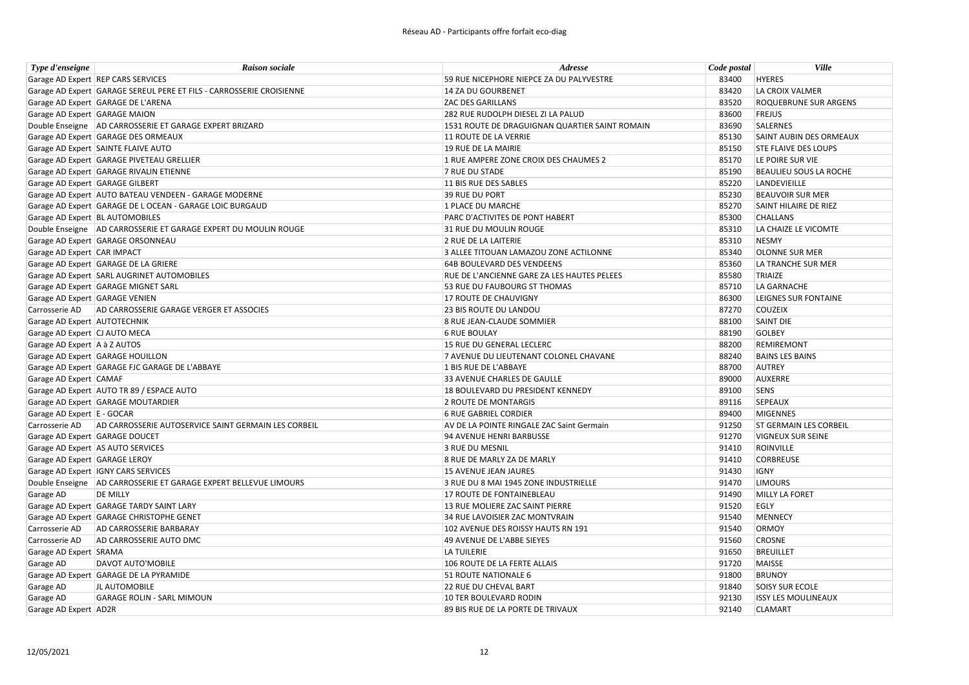| Type d'enseigne                 | <b>Raison sociale</b>                                                | Adresse                                        | Code postal | <b>Ville</b>                  |
|---------------------------------|----------------------------------------------------------------------|------------------------------------------------|-------------|-------------------------------|
|                                 | Garage AD Expert REP CARS SERVICES                                   | 59 RUE NICEPHORE NIEPCE ZA DU PALYVESTRE       | 83400       | <b>HYERES</b>                 |
|                                 | Garage AD Expert GARAGE SEREUL PERE ET FILS - CARROSSERIE CROISIENNE | 14 ZA DU GOURBENET                             | 83420       | LA CROIX VALMER               |
|                                 | Garage AD Expert GARAGE DE L'ARENA                                   | <b>ZAC DES GARILLANS</b>                       | 83520       | <b>ROQUEBRUNE SUR ARGENS</b>  |
| Garage AD Expert GARAGE MAION   |                                                                      | 282 RUE RUDOLPH DIESEL ZI LA PALUD             | 83600       | <b>FREJUS</b>                 |
|                                 | Double Enseigne   AD CARROSSERIE ET GARAGE EXPERT BRIZARD            | 1531 ROUTE DE DRAGUIGNAN QUARTIER SAINT ROMAIN | 83690       | SALERNES                      |
|                                 | Garage AD Expert GARAGE DES ORMEAUX                                  | 11 ROUTE DE LA VERRIE                          | 85130       | SAINT AUBIN DES ORMEAUX       |
|                                 | Garage AD Expert SAINTE FLAIVE AUTO                                  | 19 RUE DE LA MAIRIE                            | 85150       | <b>STE FLAIVE DES LOUPS</b>   |
|                                 | Garage AD Expert GARAGE PIVETEAU GRELLIER                            | 1 RUE AMPERE ZONE CROIX DES CHAUMES 2          | 85170       | LE POIRE SUR VIE              |
|                                 | Garage AD Expert GARAGE RIVALIN ETIENNE                              | 7 RUE DU STADE                                 | 85190       | <b>BEAULIEU SOUS LA ROCHE</b> |
| Garage AD Expert GARAGE GILBERT |                                                                      | 11 BIS RUE DES SABLES                          | 85220       | LANDEVIEILLE                  |
|                                 | Garage AD Expert AUTO BATEAU VENDEEN - GARAGE MODERNE                | <b>39 RUE DU PORT</b>                          | 85230       | <b>BEAUVOIR SUR MER</b>       |
|                                 | Garage AD Expert GARAGE DE L OCEAN - GARAGE LOIC BURGAUD             | 1 PLACE DU MARCHE                              | 85270       | SAINT HILAIRE DE RIEZ         |
|                                 | Garage AD Expert BL AUTOMOBILES                                      | PARC D'ACTIVITES DE PONT HABERT                | 85300       | <b>CHALLANS</b>               |
|                                 | Double Enseigne AD CARROSSERIE ET GARAGE EXPERT DU MOULIN ROUGE      | 31 RUE DU MOULIN ROUGE                         | 85310       | LA CHAIZE LE VICOMTE          |
|                                 | Garage AD Expert GARAGE ORSONNEAU                                    | 2 RUE DE LA LAITERIE                           | 85310       | <b>NESMY</b>                  |
| Garage AD Expert CAR IMPACT     |                                                                      | 3 ALLEE TITOUAN LAMAZOU ZONE ACTILONNE         | 85340       | <b>OLONNE SUR MER</b>         |
|                                 | Garage AD Expert GARAGE DE LA GRIERE                                 | <b>64B BOULEVARD DES VENDEENS</b>              | 85360       | LA TRANCHE SUR MER            |
|                                 | Garage AD Expert SARL AUGRINET AUTOMOBILES                           | RUE DE L'ANCIENNE GARE ZA LES HAUTES PELEES    | 85580       | TRIAIZE                       |
|                                 | Garage AD Expert GARAGE MIGNET SARL                                  | 53 RUE DU FAUBOURG ST THOMAS                   | 85710       | LA GARNACHE                   |
| Garage AD Expert GARAGE VENIEN  |                                                                      | 17 ROUTE DE CHAUVIGNY                          | 86300       | LEIGNES SUR FONTAINE          |
| Carrosserie AD                  | AD CARROSSERIE GARAGE VERGER ET ASSOCIES                             | <b>23 BIS ROUTE DU LANDOU</b>                  | 87270       | <b>COUZEIX</b>                |
| Garage AD Expert AUTOTECHNIK    |                                                                      | 8 RUE JEAN-CLAUDE SOMMIER                      | 88100       | <b>SAINT DIE</b>              |
| Garage AD Expert CJ AUTO MECA   |                                                                      | <b>6 RUE BOULAY</b>                            | 88190       | <b>GOLBEY</b>                 |
| Garage AD Expert A à Z AUTOS    |                                                                      | 15 RUE DU GENERAL LECLERC                      | 88200       | REMIREMONT                    |
|                                 | Garage AD Expert GARAGE HOUILLON                                     | 7 AVENUE DU LIEUTENANT COLONEL CHAVANE         | 88240       | <b>BAINS LES BAINS</b>        |
|                                 | Garage AD Expert GARAGE FJC GARAGE DE L'ABBAYE                       | 1 BIS RUE DE L'ABBAYE                          | 88700       | <b>AUTREY</b>                 |
| Garage AD Expert CAMAF          |                                                                      | 33 AVENUE CHARLES DE GAULLE                    | 89000       | <b>AUXERRE</b>                |
|                                 | Garage AD Expert AUTO TR 89 / ESPACE AUTO                            | 18 BOULEVARD DU PRESIDENT KENNEDY              | 89100       | <b>SENS</b>                   |
|                                 | Garage AD Expert GARAGE MOUTARDIER                                   | 2 ROUTE DE MONTARGIS                           | 89116       | SEPEAUX                       |
| Garage AD Expert E - GOCAR      |                                                                      | <b>6 RUE GABRIEL CORDIER</b>                   | 89400       | <b>MIGENNES</b>               |
| Carrosserie AD                  | AD CARROSSERIE AUTOSERVICE SAINT GERMAIN LES CORBEIL                 | AV DE LA POINTE RINGALE ZAC Saint Germain      | 91250       | <b>ST GERMAIN LES CORBEIL</b> |
| Garage AD Expert GARAGE DOUCET  |                                                                      | 94 AVENUE HENRI BARBUSSE                       | 91270       | <b>VIGNEUX SUR SEINE</b>      |
|                                 | Garage AD Expert AS AUTO SERVICES                                    | 3 RUE DU MESNIL                                | 91410       | <b>ROINVILLE</b>              |
| Garage AD Expert GARAGE LEROY   |                                                                      | 8 RUE DE MARLY ZA DE MARLY                     | 91410       | <b>CORBREUSE</b>              |
|                                 | Garage AD Expert IGNY CARS SERVICES                                  | 15 AVENUE JEAN JAURES                          | 91430       | <b>IGNY</b>                   |
|                                 | Double Enseigne   AD CARROSSERIE ET GARAGE EXPERT BELLEVUE LIMOURS   | 3 RUE DU 8 MAI 1945 ZONE INDUSTRIELLE          | 91470       | <b>LIMOURS</b>                |
| Garage AD                       | <b>DE MILLY</b>                                                      | 17 ROUTE DE FONTAINEBLEAU                      | 91490       | <b>MILLY LA FORET</b>         |
|                                 | Garage AD Expert GARAGE TARDY SAINT LARY                             | 13 RUE MOLIERE ZAC SAINT PIERRE                | 91520       | EGLY                          |
|                                 | Garage AD Expert GARAGE CHRISTOPHE GENET                             | 34 RUE LAVOISIER ZAC MONTVRAIN                 | 91540       | <b>MENNECY</b>                |
| Carrosserie AD                  | <b>AD CARROSSERIE BARBARAY</b>                                       | 102 AVENUE DES ROISSY HAUTS RN 191             | 91540       | <b>ORMOY</b>                  |
| Carrosserie AD                  | AD CARROSSERIE AUTO DMC                                              | 49 AVENUE DE L'ABBE SIEYES                     | 91560       | <b>CROSNE</b>                 |
| Garage AD Expert SRAMA          |                                                                      | LA TUILERIE                                    | 91650       | <b>BREUILLET</b>              |
| Garage AD                       | DAVOT AUTO'MOBILE                                                    | 106 ROUTE DE LA FERTE ALLAIS                   | 91720       | MAISSE                        |
|                                 | Garage AD Expert GARAGE DE LA PYRAMIDE                               | 51 ROUTE NATIONALE 6                           | 91800       | <b>BRUNOY</b>                 |
| Garage AD                       | JL AUTOMOBILE                                                        | 22 RUE DU CHEVAL BART                          | 91840       | <b>SOISY SUR ECOLE</b>        |
| Garage AD                       | <b>GARAGE ROLIN - SARL MIMOUN</b>                                    | 10 TER BOULEVARD RODIN                         | 92130       | <b>ISSY LES MOULINEAUX</b>    |
| Garage AD Expert AD2R           |                                                                      | 89 BIS RUE DE LA PORTE DE TRIVAUX              | 92140       | <b>CLAMART</b>                |